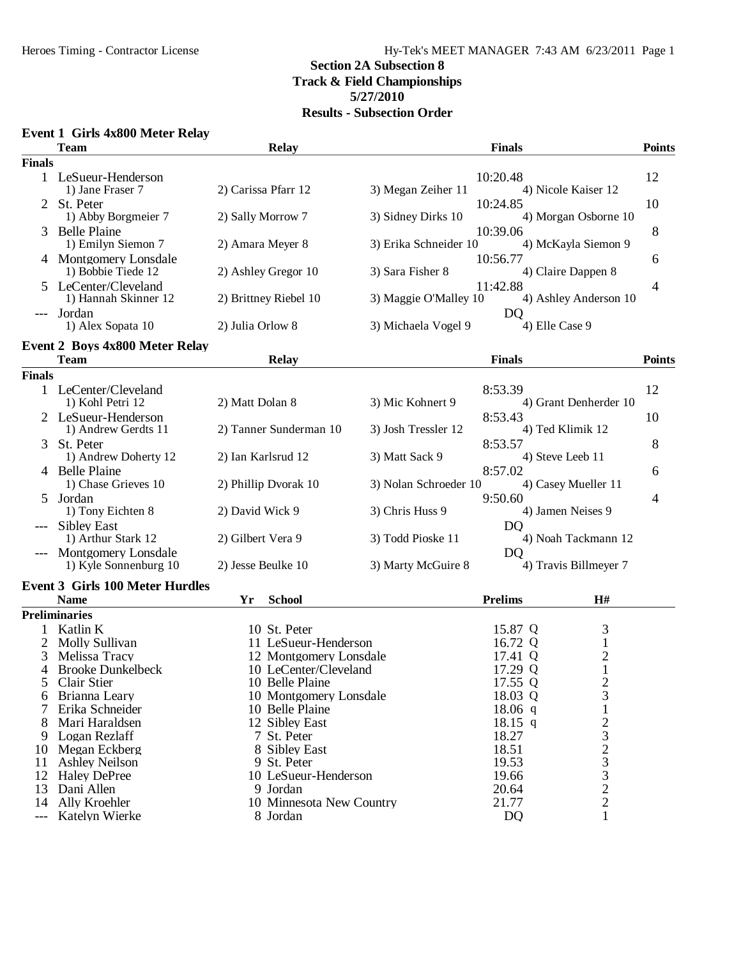#### **Event 1 Girls 4x800 Meter Relay**

|                     | <b>Team</b>                                           | <b>Relay</b>                         |                       | <b>Finals</b>      |                                              | <b>Points</b> |
|---------------------|-------------------------------------------------------|--------------------------------------|-----------------------|--------------------|----------------------------------------------|---------------|
| <b>Finals</b>       |                                                       |                                      |                       |                    |                                              |               |
|                     | 1 LeSueur-Henderson                                   |                                      |                       | 10:20.48           |                                              | 12            |
|                     | 1) Jane Fraser 7                                      | 2) Carissa Pfarr 12                  | 3) Megan Zeiher 11    |                    | 4) Nicole Kaiser 12                          |               |
| 2                   | St. Peter                                             |                                      |                       | 10:24.85           |                                              | 10            |
|                     | 1) Abby Borgmeier 7                                   | 2) Sally Morrow 7                    | 3) Sidney Dirks 10    |                    | 4) Morgan Osborne 10                         |               |
| 3                   | <b>Belle Plaine</b>                                   |                                      |                       | 10:39.06           |                                              | 8             |
|                     | 1) Emilyn Siemon 7                                    | 2) Amara Meyer 8                     | 3) Erika Schneider 10 |                    | 4) McKayla Siemon 9                          |               |
|                     | 4 Montgomery Lonsdale                                 |                                      |                       | 10:56.77           |                                              | 6             |
|                     | 1) Bobbie Tiede 12                                    | 2) Ashley Gregor 10                  | 3) Sara Fisher 8      |                    | 4) Claire Dappen 8                           |               |
|                     | 5 LeCenter/Cleveland                                  |                                      |                       | 11:42.88           |                                              | 4             |
|                     | 1) Hannah Skinner 12                                  | 2) Brittney Riebel 10                | 3) Maggie O'Malley 10 |                    | 4) Ashley Anderson 10                        |               |
|                     | Jordan<br>1) Alex Sopata 10                           | 2) Julia Orlow 8                     | 3) Michaela Vogel 9   | <b>DQ</b>          | 4) Elle Case 9                               |               |
|                     |                                                       |                                      |                       |                    |                                              |               |
|                     | <b>Event 2 Boys 4x800 Meter Relay</b>                 |                                      |                       |                    |                                              |               |
|                     | <b>Team</b>                                           | <b>Relay</b>                         |                       | <b>Finals</b>      |                                              | <b>Points</b> |
| <b>Finals</b>       |                                                       |                                      |                       |                    |                                              |               |
|                     | 1 LeCenter/Cleveland                                  |                                      |                       | 8:53.39            |                                              | 12            |
|                     | 1) Kohl Petri 12                                      | 2) Matt Dolan 8                      | 3) Mic Kohnert 9      |                    | 4) Grant Denherder 10                        |               |
|                     | 2 LeSueur-Henderson                                   |                                      |                       | 8:53.43            |                                              | 10            |
|                     | 1) Andrew Gerdts 11                                   | 2) Tanner Sunderman 10               | 3) Josh Tressler 12   |                    | 4) Ted Klimik 12                             |               |
| 3                   | St. Peter                                             |                                      |                       | 8:53.57            |                                              | 8             |
|                     | 1) Andrew Doherty 12                                  | 2) Ian Karlsrud 12                   | 3) Matt Sack 9        |                    | 4) Steve Leeb 11                             |               |
| 4                   | <b>Belle Plaine</b><br>1) Chase Grieves 10            | 2) Phillip Dvorak 10                 | 3) Nolan Schroeder 10 | 8:57.02            | 4) Casey Mueller 11                          | 6             |
| 5                   | Jordan                                                |                                      |                       | 9:50.60            |                                              | 4             |
|                     | 1) Tony Eichten 8                                     | 2) David Wick 9                      | 3) Chris Huss 9       |                    | 4) Jamen Neises 9                            |               |
|                     | <b>Sibley East</b>                                    |                                      |                       | D <sub>O</sub>     |                                              |               |
|                     | 1) Arthur Stark 12                                    | 2) Gilbert Vera 9                    | 3) Todd Pioske 11     |                    | 4) Noah Tackmann 12                          |               |
|                     | Montgomery Lonsdale                                   |                                      |                       | D <sub>O</sub>     |                                              |               |
|                     | 1) Kyle Sonnenburg 10                                 | 2) Jesse Beulke 10                   | 3) Marty McGuire 8    |                    | 4) Travis Billmeyer 7                        |               |
|                     |                                                       |                                      |                       |                    |                                              |               |
|                     | <b>Event 3 Girls 100 Meter Hurdles</b><br><b>Name</b> | Yr<br><b>School</b>                  |                       | <b>Prelims</b>     | H#                                           |               |
|                     | <b>Preliminaries</b>                                  |                                      |                       |                    |                                              |               |
|                     | Katlin K                                              |                                      |                       |                    |                                              |               |
|                     |                                                       | 10 St. Peter<br>11 LeSueur-Henderson |                       | 15.87 Q            | 3                                            |               |
| 2<br>3              | <b>Molly Sullivan</b><br>Melissa Tracy                | 12 Montgomery Lonsdale               |                       | 16.72 Q<br>17.41 Q | $\mathbf{1}$                                 |               |
| 4                   | <b>Brooke Dunkelbeck</b>                              | 10 LeCenter/Cleveland                |                       | 17.29 Q            | $\begin{smallmatrix} 2\\1 \end{smallmatrix}$ |               |
|                     | 5 Clair Stier                                         | 10 Belle Plaine                      |                       | 17.55 Q            | $\overline{2}$                               |               |
| 6                   | Brianna Leary                                         | 10 Montgomery Lonsdale               |                       | 18.03 Q            | 3                                            |               |
|                     | Erika Schneider                                       | 10 Belle Plaine                      |                       | $18.06$ q          |                                              |               |
|                     | Mari Haraldsen                                        | 12 Sibley East                       |                       | 18.15 q            | 2                                            |               |
| 9                   | Logan Rezlaff                                         | 7 St. Peter                          |                       | 18.27              | 3                                            |               |
| 10                  | Megan Eckberg                                         | 8 Sibley East                        |                       | 18.51              | $\overline{c}$                               |               |
| 11                  | <b>Ashley Neilson</b>                                 | 9 St. Peter                          |                       | 19.53              | 3                                            |               |
| 12                  | <b>Haley DePree</b>                                   | 10 LeSueur-Henderson                 |                       | 19.66              | 3                                            |               |
| 13                  | Dani Allen                                            | 9 Jordan                             |                       | 20.64              | $\mathbf{2}$                                 |               |
| 14                  | Ally Kroehler                                         | 10 Minnesota New Country             |                       | 21.77              | $\overline{c}$                               |               |
| $\qquad \qquad - -$ | Katelyn Wierke                                        | 8 Jordan                             |                       | <b>DQ</b>          | 1                                            |               |
|                     |                                                       |                                      |                       |                    |                                              |               |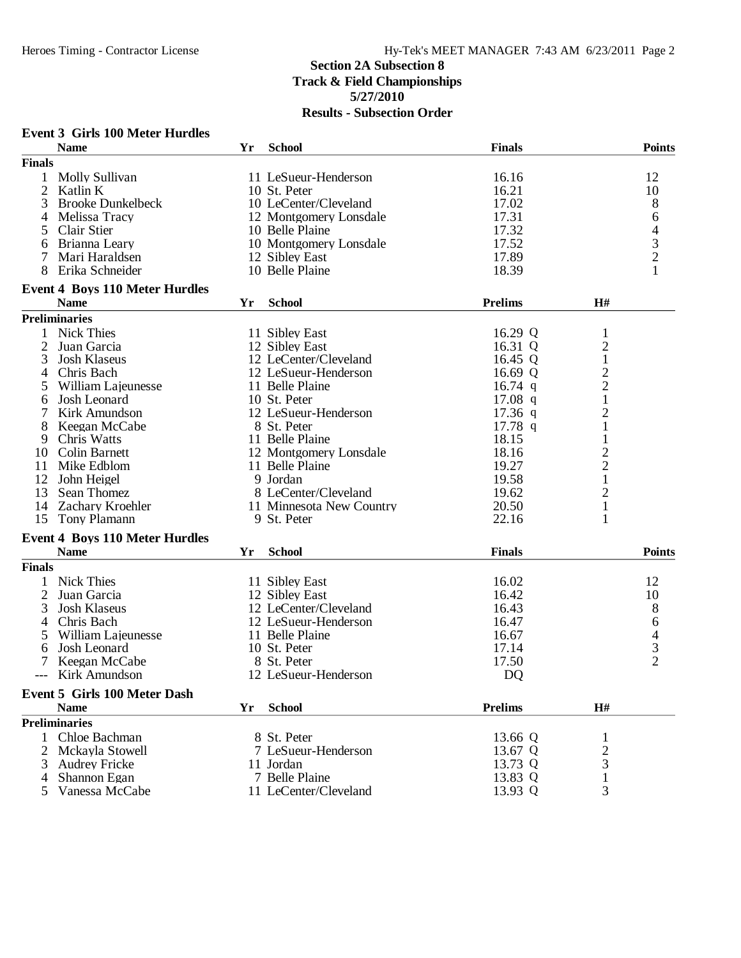## **Section 2A Subsection 8 Track & Field Championships 5/27/2010**

|               | <b>Event 3 Girls 100 Meter Hurdles</b> |    |                          |                |                         |                |
|---------------|----------------------------------------|----|--------------------------|----------------|-------------------------|----------------|
|               | <b>Name</b>                            | Yr | <b>School</b>            | <b>Finals</b>  |                         | <b>Points</b>  |
| <b>Finals</b> |                                        |    |                          |                |                         |                |
| 1             | Molly Sullivan                         |    | 11 LeSueur-Henderson     | 16.16          |                         | 12             |
| 2             | Katlin K                               |    | 10 St. Peter             | 16.21          |                         | 10             |
| 3             | <b>Brooke Dunkelbeck</b>               |    | 10 LeCenter/Cleveland    | 17.02          |                         | 8              |
| 4             | Melissa Tracy                          |    | 12 Montgomery Lonsdale   | 17.31          |                         | 6              |
| 5             | <b>Clair Stier</b>                     |    | 10 Belle Plaine          | 17.32          |                         |                |
| 6             | Brianna Leary                          |    | 10 Montgomery Lonsdale   | 17.52          |                         | $\frac{4}{3}$  |
| 7             | Mari Haraldsen                         |    | 12 Sibley East           | 17.89          |                         |                |
| 8             | Erika Schneider                        |    | 10 Belle Plaine          | 18.39          |                         |                |
|               | <b>Event 4 Boys 110 Meter Hurdles</b>  |    |                          |                |                         |                |
|               | <b>Name</b>                            | Yr | <b>School</b>            | <b>Prelims</b> | H#                      |                |
|               | <b>Preliminaries</b>                   |    |                          |                |                         |                |
| 1             | <b>Nick Thies</b>                      |    | 11 Sibley East           | 16.29 Q        | 1                       |                |
| 2             | Juan Garcia                            |    | 12 Sibley East           | 16.31 Q        | $\overline{\mathbf{c}}$ |                |
| 3             | Josh Klaseus                           |    | 12 LeCenter/Cleveland    | 16.45 Q        | $\mathbf{1}$            |                |
| 4             | Chris Bach                             |    | 12 LeSueur-Henderson     | 16.69 Q        |                         |                |
| 5             | William Lajeunesse                     |    | 11 Belle Plaine          | $16.74$ q      | $\frac{2}{2}$           |                |
| 6             | Josh Leonard                           |    | 10 St. Peter             | 17.08 $q$      | $\mathbf{1}$            |                |
| 7             | Kirk Amundson                          |    | 12 LeSueur-Henderson     | $17.36$ q      | $\overline{c}$          |                |
| 8             | Keegan McCabe                          |    | 8 St. Peter              | $17.78$ q      | $\mathbf{1}$            |                |
| 9             | Chris Watts                            |    | 11 Belle Plaine          | 18.15          | 1                       |                |
| 10            | Colin Barnett                          |    | 12 Montgomery Lonsdale   | 18.16          | $\overline{c}$          |                |
| 11            | Mike Edblom                            |    | 11 Belle Plaine          | 19.27          | $\overline{c}$          |                |
| 12            | John Heigel                            |    | 9 Jordan                 | 19.58          | $\mathbf{1}$            |                |
|               | Sean Thomez                            |    | 8 LeCenter/Cleveland     | 19.62          |                         |                |
| 13            |                                        |    |                          |                | $\overline{c}$          |                |
| 14            | <b>Zachary Kroehler</b>                |    | 11 Minnesota New Country | 20.50          | $\mathbf{1}$            |                |
|               | 15 Tony Plamann                        |    | 9 St. Peter              | 22.16          | 1                       |                |
|               | <b>Event 4 Boys 110 Meter Hurdles</b>  |    |                          |                |                         |                |
|               | <b>Name</b>                            | Yr | <b>School</b>            | <b>Finals</b>  |                         | <b>Points</b>  |
| <b>Finals</b> |                                        |    |                          |                |                         |                |
|               | <b>Nick Thies</b>                      |    | 11 Sibley East           | 16.02          |                         | 12             |
| 2             | Juan Garcia                            |    | 12 Sibley East           | 16.42          |                         | 10             |
| 3             | Josh Klaseus                           |    | 12 LeCenter/Cleveland    | 16.43          |                         | 8              |
| 4             | Chris Bach                             |    | 12 LeSueur-Henderson     | 16.47          |                         | 6              |
| 5             | William Lajeunesse                     |    | 11 Belle Plaine          | 16.67          |                         | $rac{4}{3}$    |
| 6             | Josh Leonard                           |    | 10 St. Peter             | 17.14          |                         |                |
| 7             | Keegan McCabe                          |    | 8 St. Peter              | 17.50          |                         | $\overline{2}$ |
|               | --- Kirk Amundson                      |    | 12 LeSueur-Henderson     | DQ             |                         |                |
|               | <b>Event 5 Girls 100 Meter Dash</b>    |    |                          |                |                         |                |
|               | <b>Name</b>                            | Yr | <b>School</b>            | <b>Prelims</b> | H#                      |                |
|               | <b>Preliminaries</b>                   |    |                          |                |                         |                |
|               | 1 Chloe Bachman                        |    | 8 St. Peter              | 13.66 Q        | 1                       |                |
| 2             | Mckayla Stowell                        |    | 7 LeSueur-Henderson      | 13.67 Q        | $\overline{\mathbf{c}}$ |                |
| 3             | <b>Audrey Fricke</b>                   |    | 11 Jordan                | 13.73 Q        | 3                       |                |
| 4             | Shannon Egan                           |    | 7 Belle Plaine           | 13.83 Q        | $\mathbf{1}$            |                |
| 5             | Vanessa McCabe                         |    | 11 LeCenter/Cleveland    | 13.93 Q        | 3                       |                |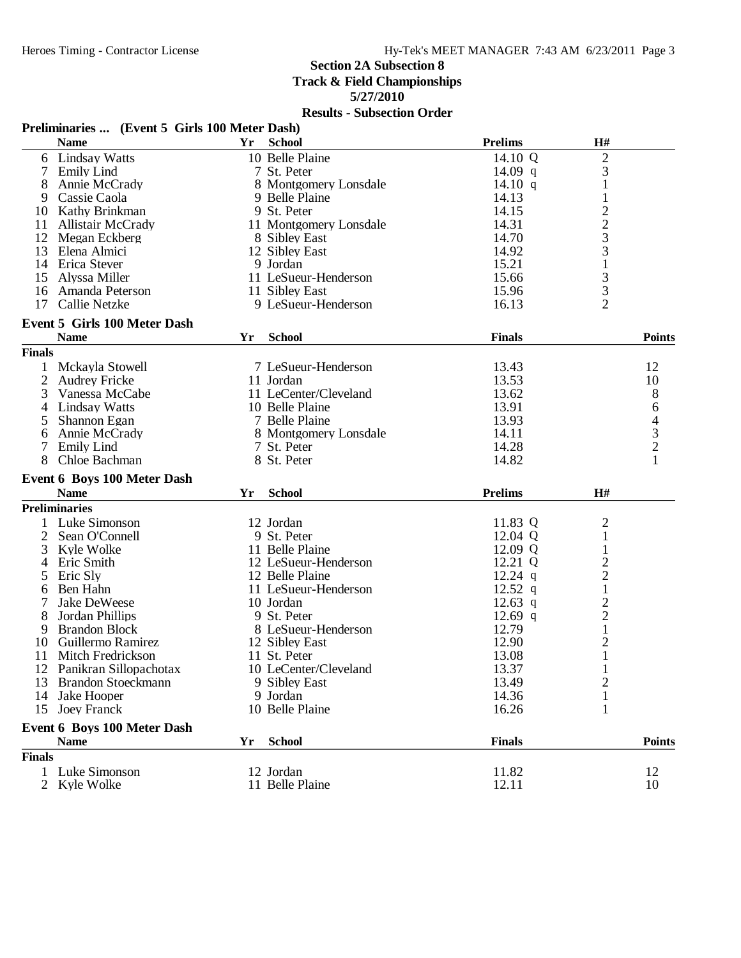### **Section 2A Subsection 8**

**Track & Field Championships**

**5/27/2010**

|               | Preliminaries  (Event 5 Girls 100 Meter Dash) |    |                        |                |                                |                                            |
|---------------|-----------------------------------------------|----|------------------------|----------------|--------------------------------|--------------------------------------------|
|               | <b>Name</b>                                   | Yr | <b>School</b>          | <b>Prelims</b> | H#                             |                                            |
|               | 6 Lindsay Watts                               |    | 10 Belle Plaine        | 14.10 Q        | $\overline{c}$                 |                                            |
| 7             | <b>Emily Lind</b>                             |    | 7 St. Peter            | 14.09 q        | 3                              |                                            |
| 8             | Annie McCrady                                 |    | 8 Montgomery Lonsdale  | 14.10 $q$      | 1                              |                                            |
| 9             | Cassie Caola                                  |    | 9 Belle Plaine         | 14.13          | $\mathbf{1}$                   |                                            |
| 10            | Kathy Brinkman                                |    | 9 St. Peter            | 14.15          |                                |                                            |
| 11            | <b>Allistair McCrady</b>                      |    | 11 Montgomery Lonsdale | 14.31          |                                |                                            |
|               | 12 Megan Eckberg                              |    | 8 Sibley East          | 14.70          | $2233$<br>$313$<br>$33$        |                                            |
| 13            | Elena Almici                                  |    | 12 Sibley East         | 14.92          |                                |                                            |
|               | 14 Erica Stever                               |    | 9 Jordan               | 15.21          |                                |                                            |
| 15            | Alyssa Miller                                 |    | 11 LeSueur-Henderson   | 15.66          |                                |                                            |
| 16            | Amanda Peterson                               |    | 11 Sibley East         | 15.96          |                                |                                            |
| 17            | Callie Netzke                                 |    | 9 LeSueur-Henderson    | 16.13          | $\overline{2}$                 |                                            |
|               | <b>Event 5 Girls 100 Meter Dash</b>           |    |                        |                |                                |                                            |
|               | <b>Name</b>                                   | Yr | <b>School</b>          | <b>Finals</b>  |                                | <b>Points</b>                              |
|               |                                               |    |                        |                |                                |                                            |
| <b>Finals</b> |                                               |    |                        |                |                                |                                            |
|               | 1 Mckayla Stowell                             |    | 7 LeSueur-Henderson    | 13.43          |                                | 12                                         |
| 2             | <b>Audrey Fricke</b>                          |    | 11 Jordan              | 13.53          |                                | 10                                         |
| 3             | Vanessa McCabe                                |    | 11 LeCenter/Cleveland  | 13.62          |                                | 8                                          |
|               | 4 Lindsay Watts                               |    | 10 Belle Plaine        | 13.91          |                                | 6                                          |
| 5             | Shannon Egan                                  |    | 7 Belle Plaine         | 13.93          |                                |                                            |
| 6             | Annie McCrady                                 |    | 8 Montgomery Lonsdale  | 14.11          |                                | $\begin{array}{c} 4 \\ 3 \\ 2 \end{array}$ |
| 7             | <b>Emily Lind</b>                             |    | 7 St. Peter            | 14.28          |                                |                                            |
|               | Chloe Bachman                                 |    | 8 St. Peter            | 14.82          |                                | $\mathbf{1}$                               |
|               | <b>Event 6 Boys 100 Meter Dash</b>            |    |                        |                |                                |                                            |
|               | <b>Name</b>                                   | Yr | <b>School</b>          | <b>Prelims</b> | H#                             |                                            |
|               | <b>Preliminaries</b>                          |    |                        |                |                                |                                            |
|               | Luke Simonson                                 |    | 12 Jordan              | 11.83 Q        | $\overline{2}$                 |                                            |
| 2             | Sean O'Connell                                |    | 9 St. Peter            | 12.04 Q        | $\,1$                          |                                            |
| 3             | Kyle Wolke                                    |    | 11 Belle Plaine        | 12.09 Q        | $\mathbf{1}$                   |                                            |
|               | 4 Eric Smith                                  |    | 12 LeSueur-Henderson   | 12.21 Q        |                                |                                            |
| 5             | Eric Sly                                      |    | 12 Belle Plaine        | $12.24$ q      | $\frac{2}{1}$                  |                                            |
| 6             | Ben Hahn                                      |    | 11 LeSueur-Henderson   | $12.52$ q      |                                |                                            |
| 7             | Jake DeWeese                                  |    | 10 Jordan              | 12.63 q        |                                |                                            |
| 8             | Jordan Phillips                               |    | 9 St. Peter            | $12.69$ q      | $\frac{2}{1}$                  |                                            |
|               | <b>Brandon Block</b>                          |    | 8 LeSueur-Henderson    | 12.79          |                                |                                            |
| 9             | Guillermo Ramirez                             |    |                        | 12.90          |                                |                                            |
| 10            |                                               |    | 12 Sibley East         | 13.08          | $\overline{c}$<br>$\mathbf{1}$ |                                            |
| 11            | Mitch Fredrickson                             |    | 11 St. Peter           |                |                                |                                            |
|               | 12 Panikran Sillopachotax                     |    | 10 LeCenter/Cleveland  | 13.37          | $\mathbf{1}$                   |                                            |
| 13            | <b>Brandon Stoeckmann</b>                     |    | 9 Sibley East          | 13.49          | $\overline{c}$                 |                                            |
| 14            | Jake Hooper                                   |    | 9 Jordan               | 14.36          | $\mathbf{1}$                   |                                            |
|               | 15 Joey Franck                                |    | 10 Belle Plaine        | 16.26          | 1                              |                                            |
|               | Event 6 Boys 100 Meter Dash                   |    |                        |                |                                |                                            |
|               | <b>Name</b>                                   | Yr | <b>School</b>          | <b>Finals</b>  |                                | <b>Points</b>                              |
| <b>Finals</b> |                                               |    |                        |                |                                |                                            |
|               | 1 Luke Simonson                               |    | 12 Jordan              | 11.82          |                                | 12                                         |
|               | 2 Kyle Wolke                                  |    | 11 Belle Plaine        | 12.11          |                                | 10                                         |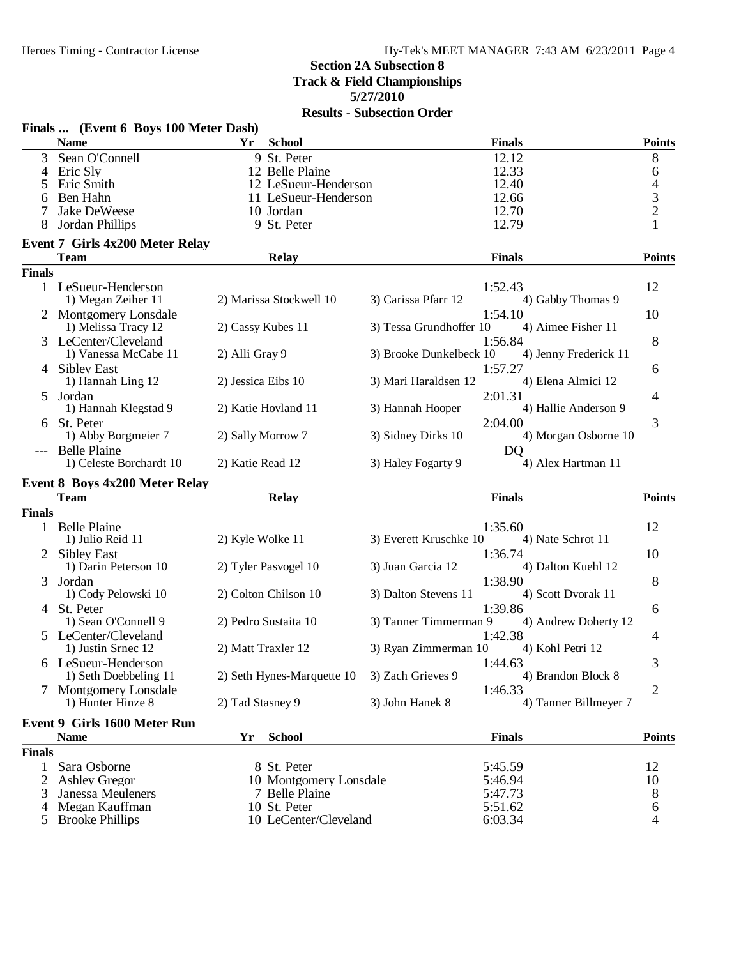## **Section 2A Subsection 8 Track & Field Championships 5/27/2010**

| <b>Name</b><br>Yr<br><b>School</b><br><b>Finals</b><br>Sean O'Connell<br>9 St. Peter<br>12.12<br>$8\,$<br>3<br>12.33<br>Eric Sly<br>12 Belle Plaine<br>6<br>4<br>$\overline{4}$<br>12.40<br>Eric Smith<br>12 LeSueur-Henderson<br>5<br>$\frac{3}{2}$<br>12.66<br>Ben Hahn<br>11 LeSueur-Henderson<br>6<br>Jake DeWeese<br>10 Jordan<br>12.70<br>12.79<br>Jordan Phillips<br>9 St. Peter<br>1<br><b>Event 7 Girls 4x200 Meter Relay</b><br><b>Team</b><br><b>Finals</b><br><b>Points</b><br><b>Relay</b><br><b>Finals</b><br>12<br>1 LeSueur-Henderson<br>1:52.43<br>2) Marissa Stockwell 10<br>4) Gabby Thomas 9<br>1) Megan Zeiher 11<br>3) Carissa Pfarr 12<br>2 Montgomery Lonsdale<br>1:54.10<br>10<br>4) Aimee Fisher 11<br>3) Tessa Grundhoffer 10<br>1) Melissa Tracy 12<br>2) Cassy Kubes 11<br>8<br>3 LeCenter/Cleveland<br>1:56.84<br>3) Brooke Dunkelbeck 10<br>4) Jenny Frederick 11<br>1) Vanessa McCabe 11<br>2) Alli Gray 9<br>1:57.27<br>4 Sibley East<br>6<br>4) Elena Almici 12<br>1) Hannah Ling 12<br>2) Jessica Eibs 10<br>3) Mari Haraldsen 12<br>2:01.31<br>5 Jordan<br>4<br>1) Hannah Klegstad 9<br>2) Katie Hovland 11<br>3) Hannah Hooper<br>4) Hallie Anderson 9<br>3<br>St. Peter<br>2:04.00<br>1) Abby Borgmeier 7<br>4) Morgan Osborne 10<br>2) Sally Morrow 7<br>3) Sidney Dirks 10<br><b>Belle Plaine</b><br>D <sub>O</sub><br>1) Celeste Borchardt 10<br>2) Katie Read 12<br>3) Haley Fogarty 9<br>4) Alex Hartman 11<br><b>Event 8 Boys 4x200 Meter Relay</b><br><b>Team</b><br><b>Points</b><br><b>Relay</b><br><b>Finals</b><br><b>Finals</b><br>1 Belle Plaine<br>1:35.60<br>12<br>1) Julio Reid 11<br>2) Kyle Wolke 11<br>3) Everett Kruschke 10<br>4) Nate Schrot 11<br>1:36.74<br>10<br>2 Sibley East<br>1) Darin Peterson 10<br>2) Tyler Pasvogel 10<br>3) Juan Garcia 12<br>4) Dalton Kuehl 12<br>1:38.90<br>8<br>Jordan<br>3<br>1) Cody Pelowski 10<br>2) Colton Chilson 10<br>3) Dalton Stevens 11<br>4) Scott Dvorak 11<br>1:39.86<br>4 St. Peter<br>6<br>3) Tanner Timmerman 9<br>1) Sean O'Connell 9<br>2) Pedro Sustaita 10<br>4) Andrew Doherty 12<br>5 LeCenter/Cleveland<br>1:42.38<br>4<br>2) Matt Traxler 12<br>4) Kohl Petri 12<br>1) Justin Srnec 12<br>3) Ryan Zimmerman 10<br>1:44.63<br>3<br>6 LeSueur-Henderson<br>2) Seth Hynes-Marquette 10<br>3) Zach Grieves 9<br>4) Brandon Block 8<br>1) Seth Doebbeling 11<br>7 Montgomery Lonsdale<br>2<br>1:46.33<br>3) John Hanek 8<br>4) Tanner Billmeyer 7<br>1) Hunter Hinze 8<br>2) Tad Stasney 9<br><b>Event 9 Girls 1600 Meter Run</b><br><b>Name</b><br><b>School</b><br><b>Finals</b><br>Yr<br><b>Finals</b><br>Sara Osborne<br>8 St. Peter<br>5:45.59<br>12<br>1<br>5:46.94<br>2<br><b>Ashley Gregor</b><br>10 Montgomery Lonsdale<br>10<br>8<br>Janessa Meuleners<br>7 Belle Plaine<br>5:47.73<br>3<br>Megan Kauffman<br>10 St. Peter<br>5:51.62<br>6<br>4<br><b>Brooke Phillips</b><br>10 LeCenter/Cleveland<br>6:03.34<br>4<br>5 | Finals  (Event 6 Boys 100 Meter Dash) |  |               |
|---------------------------------------------------------------------------------------------------------------------------------------------------------------------------------------------------------------------------------------------------------------------------------------------------------------------------------------------------------------------------------------------------------------------------------------------------------------------------------------------------------------------------------------------------------------------------------------------------------------------------------------------------------------------------------------------------------------------------------------------------------------------------------------------------------------------------------------------------------------------------------------------------------------------------------------------------------------------------------------------------------------------------------------------------------------------------------------------------------------------------------------------------------------------------------------------------------------------------------------------------------------------------------------------------------------------------------------------------------------------------------------------------------------------------------------------------------------------------------------------------------------------------------------------------------------------------------------------------------------------------------------------------------------------------------------------------------------------------------------------------------------------------------------------------------------------------------------------------------------------------------------------------------------------------------------------------------------------------------------------------------------------------------------------------------------------------------------------------------------------------------------------------------------------------------------------------------------------------------------------------------------------------------------------------------------------------------------------------------------------------------------------------------------------------------------------------------------------------------------------------------------------------------------------------------------------------------------------------------------------------------------------------------------------------------------------------------------------------------------------------------------------------------------------------------------------------------------------------------------------------------------------------------------------------------------------------|---------------------------------------|--|---------------|
|                                                                                                                                                                                                                                                                                                                                                                                                                                                                                                                                                                                                                                                                                                                                                                                                                                                                                                                                                                                                                                                                                                                                                                                                                                                                                                                                                                                                                                                                                                                                                                                                                                                                                                                                                                                                                                                                                                                                                                                                                                                                                                                                                                                                                                                                                                                                                                                                                                                                                                                                                                                                                                                                                                                                                                                                                                                                                                                                                   |                                       |  | <b>Points</b> |
|                                                                                                                                                                                                                                                                                                                                                                                                                                                                                                                                                                                                                                                                                                                                                                                                                                                                                                                                                                                                                                                                                                                                                                                                                                                                                                                                                                                                                                                                                                                                                                                                                                                                                                                                                                                                                                                                                                                                                                                                                                                                                                                                                                                                                                                                                                                                                                                                                                                                                                                                                                                                                                                                                                                                                                                                                                                                                                                                                   |                                       |  |               |
|                                                                                                                                                                                                                                                                                                                                                                                                                                                                                                                                                                                                                                                                                                                                                                                                                                                                                                                                                                                                                                                                                                                                                                                                                                                                                                                                                                                                                                                                                                                                                                                                                                                                                                                                                                                                                                                                                                                                                                                                                                                                                                                                                                                                                                                                                                                                                                                                                                                                                                                                                                                                                                                                                                                                                                                                                                                                                                                                                   |                                       |  |               |
|                                                                                                                                                                                                                                                                                                                                                                                                                                                                                                                                                                                                                                                                                                                                                                                                                                                                                                                                                                                                                                                                                                                                                                                                                                                                                                                                                                                                                                                                                                                                                                                                                                                                                                                                                                                                                                                                                                                                                                                                                                                                                                                                                                                                                                                                                                                                                                                                                                                                                                                                                                                                                                                                                                                                                                                                                                                                                                                                                   |                                       |  |               |
|                                                                                                                                                                                                                                                                                                                                                                                                                                                                                                                                                                                                                                                                                                                                                                                                                                                                                                                                                                                                                                                                                                                                                                                                                                                                                                                                                                                                                                                                                                                                                                                                                                                                                                                                                                                                                                                                                                                                                                                                                                                                                                                                                                                                                                                                                                                                                                                                                                                                                                                                                                                                                                                                                                                                                                                                                                                                                                                                                   |                                       |  |               |
|                                                                                                                                                                                                                                                                                                                                                                                                                                                                                                                                                                                                                                                                                                                                                                                                                                                                                                                                                                                                                                                                                                                                                                                                                                                                                                                                                                                                                                                                                                                                                                                                                                                                                                                                                                                                                                                                                                                                                                                                                                                                                                                                                                                                                                                                                                                                                                                                                                                                                                                                                                                                                                                                                                                                                                                                                                                                                                                                                   |                                       |  |               |
|                                                                                                                                                                                                                                                                                                                                                                                                                                                                                                                                                                                                                                                                                                                                                                                                                                                                                                                                                                                                                                                                                                                                                                                                                                                                                                                                                                                                                                                                                                                                                                                                                                                                                                                                                                                                                                                                                                                                                                                                                                                                                                                                                                                                                                                                                                                                                                                                                                                                                                                                                                                                                                                                                                                                                                                                                                                                                                                                                   |                                       |  |               |
|                                                                                                                                                                                                                                                                                                                                                                                                                                                                                                                                                                                                                                                                                                                                                                                                                                                                                                                                                                                                                                                                                                                                                                                                                                                                                                                                                                                                                                                                                                                                                                                                                                                                                                                                                                                                                                                                                                                                                                                                                                                                                                                                                                                                                                                                                                                                                                                                                                                                                                                                                                                                                                                                                                                                                                                                                                                                                                                                                   |                                       |  |               |
|                                                                                                                                                                                                                                                                                                                                                                                                                                                                                                                                                                                                                                                                                                                                                                                                                                                                                                                                                                                                                                                                                                                                                                                                                                                                                                                                                                                                                                                                                                                                                                                                                                                                                                                                                                                                                                                                                                                                                                                                                                                                                                                                                                                                                                                                                                                                                                                                                                                                                                                                                                                                                                                                                                                                                                                                                                                                                                                                                   |                                       |  |               |
|                                                                                                                                                                                                                                                                                                                                                                                                                                                                                                                                                                                                                                                                                                                                                                                                                                                                                                                                                                                                                                                                                                                                                                                                                                                                                                                                                                                                                                                                                                                                                                                                                                                                                                                                                                                                                                                                                                                                                                                                                                                                                                                                                                                                                                                                                                                                                                                                                                                                                                                                                                                                                                                                                                                                                                                                                                                                                                                                                   |                                       |  |               |
|                                                                                                                                                                                                                                                                                                                                                                                                                                                                                                                                                                                                                                                                                                                                                                                                                                                                                                                                                                                                                                                                                                                                                                                                                                                                                                                                                                                                                                                                                                                                                                                                                                                                                                                                                                                                                                                                                                                                                                                                                                                                                                                                                                                                                                                                                                                                                                                                                                                                                                                                                                                                                                                                                                                                                                                                                                                                                                                                                   |                                       |  |               |
|                                                                                                                                                                                                                                                                                                                                                                                                                                                                                                                                                                                                                                                                                                                                                                                                                                                                                                                                                                                                                                                                                                                                                                                                                                                                                                                                                                                                                                                                                                                                                                                                                                                                                                                                                                                                                                                                                                                                                                                                                                                                                                                                                                                                                                                                                                                                                                                                                                                                                                                                                                                                                                                                                                                                                                                                                                                                                                                                                   |                                       |  |               |
|                                                                                                                                                                                                                                                                                                                                                                                                                                                                                                                                                                                                                                                                                                                                                                                                                                                                                                                                                                                                                                                                                                                                                                                                                                                                                                                                                                                                                                                                                                                                                                                                                                                                                                                                                                                                                                                                                                                                                                                                                                                                                                                                                                                                                                                                                                                                                                                                                                                                                                                                                                                                                                                                                                                                                                                                                                                                                                                                                   |                                       |  |               |
|                                                                                                                                                                                                                                                                                                                                                                                                                                                                                                                                                                                                                                                                                                                                                                                                                                                                                                                                                                                                                                                                                                                                                                                                                                                                                                                                                                                                                                                                                                                                                                                                                                                                                                                                                                                                                                                                                                                                                                                                                                                                                                                                                                                                                                                                                                                                                                                                                                                                                                                                                                                                                                                                                                                                                                                                                                                                                                                                                   |                                       |  |               |
|                                                                                                                                                                                                                                                                                                                                                                                                                                                                                                                                                                                                                                                                                                                                                                                                                                                                                                                                                                                                                                                                                                                                                                                                                                                                                                                                                                                                                                                                                                                                                                                                                                                                                                                                                                                                                                                                                                                                                                                                                                                                                                                                                                                                                                                                                                                                                                                                                                                                                                                                                                                                                                                                                                                                                                                                                                                                                                                                                   |                                       |  |               |
|                                                                                                                                                                                                                                                                                                                                                                                                                                                                                                                                                                                                                                                                                                                                                                                                                                                                                                                                                                                                                                                                                                                                                                                                                                                                                                                                                                                                                                                                                                                                                                                                                                                                                                                                                                                                                                                                                                                                                                                                                                                                                                                                                                                                                                                                                                                                                                                                                                                                                                                                                                                                                                                                                                                                                                                                                                                                                                                                                   |                                       |  |               |
|                                                                                                                                                                                                                                                                                                                                                                                                                                                                                                                                                                                                                                                                                                                                                                                                                                                                                                                                                                                                                                                                                                                                                                                                                                                                                                                                                                                                                                                                                                                                                                                                                                                                                                                                                                                                                                                                                                                                                                                                                                                                                                                                                                                                                                                                                                                                                                                                                                                                                                                                                                                                                                                                                                                                                                                                                                                                                                                                                   |                                       |  |               |
|                                                                                                                                                                                                                                                                                                                                                                                                                                                                                                                                                                                                                                                                                                                                                                                                                                                                                                                                                                                                                                                                                                                                                                                                                                                                                                                                                                                                                                                                                                                                                                                                                                                                                                                                                                                                                                                                                                                                                                                                                                                                                                                                                                                                                                                                                                                                                                                                                                                                                                                                                                                                                                                                                                                                                                                                                                                                                                                                                   |                                       |  |               |
|                                                                                                                                                                                                                                                                                                                                                                                                                                                                                                                                                                                                                                                                                                                                                                                                                                                                                                                                                                                                                                                                                                                                                                                                                                                                                                                                                                                                                                                                                                                                                                                                                                                                                                                                                                                                                                                                                                                                                                                                                                                                                                                                                                                                                                                                                                                                                                                                                                                                                                                                                                                                                                                                                                                                                                                                                                                                                                                                                   |                                       |  |               |
|                                                                                                                                                                                                                                                                                                                                                                                                                                                                                                                                                                                                                                                                                                                                                                                                                                                                                                                                                                                                                                                                                                                                                                                                                                                                                                                                                                                                                                                                                                                                                                                                                                                                                                                                                                                                                                                                                                                                                                                                                                                                                                                                                                                                                                                                                                                                                                                                                                                                                                                                                                                                                                                                                                                                                                                                                                                                                                                                                   |                                       |  |               |
|                                                                                                                                                                                                                                                                                                                                                                                                                                                                                                                                                                                                                                                                                                                                                                                                                                                                                                                                                                                                                                                                                                                                                                                                                                                                                                                                                                                                                                                                                                                                                                                                                                                                                                                                                                                                                                                                                                                                                                                                                                                                                                                                                                                                                                                                                                                                                                                                                                                                                                                                                                                                                                                                                                                                                                                                                                                                                                                                                   |                                       |  |               |
|                                                                                                                                                                                                                                                                                                                                                                                                                                                                                                                                                                                                                                                                                                                                                                                                                                                                                                                                                                                                                                                                                                                                                                                                                                                                                                                                                                                                                                                                                                                                                                                                                                                                                                                                                                                                                                                                                                                                                                                                                                                                                                                                                                                                                                                                                                                                                                                                                                                                                                                                                                                                                                                                                                                                                                                                                                                                                                                                                   |                                       |  |               |
|                                                                                                                                                                                                                                                                                                                                                                                                                                                                                                                                                                                                                                                                                                                                                                                                                                                                                                                                                                                                                                                                                                                                                                                                                                                                                                                                                                                                                                                                                                                                                                                                                                                                                                                                                                                                                                                                                                                                                                                                                                                                                                                                                                                                                                                                                                                                                                                                                                                                                                                                                                                                                                                                                                                                                                                                                                                                                                                                                   |                                       |  |               |
|                                                                                                                                                                                                                                                                                                                                                                                                                                                                                                                                                                                                                                                                                                                                                                                                                                                                                                                                                                                                                                                                                                                                                                                                                                                                                                                                                                                                                                                                                                                                                                                                                                                                                                                                                                                                                                                                                                                                                                                                                                                                                                                                                                                                                                                                                                                                                                                                                                                                                                                                                                                                                                                                                                                                                                                                                                                                                                                                                   |                                       |  |               |
| <b>Points</b>                                                                                                                                                                                                                                                                                                                                                                                                                                                                                                                                                                                                                                                                                                                                                                                                                                                                                                                                                                                                                                                                                                                                                                                                                                                                                                                                                                                                                                                                                                                                                                                                                                                                                                                                                                                                                                                                                                                                                                                                                                                                                                                                                                                                                                                                                                                                                                                                                                                                                                                                                                                                                                                                                                                                                                                                                                                                                                                                     |                                       |  |               |
|                                                                                                                                                                                                                                                                                                                                                                                                                                                                                                                                                                                                                                                                                                                                                                                                                                                                                                                                                                                                                                                                                                                                                                                                                                                                                                                                                                                                                                                                                                                                                                                                                                                                                                                                                                                                                                                                                                                                                                                                                                                                                                                                                                                                                                                                                                                                                                                                                                                                                                                                                                                                                                                                                                                                                                                                                                                                                                                                                   |                                       |  |               |
|                                                                                                                                                                                                                                                                                                                                                                                                                                                                                                                                                                                                                                                                                                                                                                                                                                                                                                                                                                                                                                                                                                                                                                                                                                                                                                                                                                                                                                                                                                                                                                                                                                                                                                                                                                                                                                                                                                                                                                                                                                                                                                                                                                                                                                                                                                                                                                                                                                                                                                                                                                                                                                                                                                                                                                                                                                                                                                                                                   |                                       |  |               |
|                                                                                                                                                                                                                                                                                                                                                                                                                                                                                                                                                                                                                                                                                                                                                                                                                                                                                                                                                                                                                                                                                                                                                                                                                                                                                                                                                                                                                                                                                                                                                                                                                                                                                                                                                                                                                                                                                                                                                                                                                                                                                                                                                                                                                                                                                                                                                                                                                                                                                                                                                                                                                                                                                                                                                                                                                                                                                                                                                   |                                       |  |               |
|                                                                                                                                                                                                                                                                                                                                                                                                                                                                                                                                                                                                                                                                                                                                                                                                                                                                                                                                                                                                                                                                                                                                                                                                                                                                                                                                                                                                                                                                                                                                                                                                                                                                                                                                                                                                                                                                                                                                                                                                                                                                                                                                                                                                                                                                                                                                                                                                                                                                                                                                                                                                                                                                                                                                                                                                                                                                                                                                                   |                                       |  |               |
|                                                                                                                                                                                                                                                                                                                                                                                                                                                                                                                                                                                                                                                                                                                                                                                                                                                                                                                                                                                                                                                                                                                                                                                                                                                                                                                                                                                                                                                                                                                                                                                                                                                                                                                                                                                                                                                                                                                                                                                                                                                                                                                                                                                                                                                                                                                                                                                                                                                                                                                                                                                                                                                                                                                                                                                                                                                                                                                                                   |                                       |  |               |
|                                                                                                                                                                                                                                                                                                                                                                                                                                                                                                                                                                                                                                                                                                                                                                                                                                                                                                                                                                                                                                                                                                                                                                                                                                                                                                                                                                                                                                                                                                                                                                                                                                                                                                                                                                                                                                                                                                                                                                                                                                                                                                                                                                                                                                                                                                                                                                                                                                                                                                                                                                                                                                                                                                                                                                                                                                                                                                                                                   |                                       |  |               |
|                                                                                                                                                                                                                                                                                                                                                                                                                                                                                                                                                                                                                                                                                                                                                                                                                                                                                                                                                                                                                                                                                                                                                                                                                                                                                                                                                                                                                                                                                                                                                                                                                                                                                                                                                                                                                                                                                                                                                                                                                                                                                                                                                                                                                                                                                                                                                                                                                                                                                                                                                                                                                                                                                                                                                                                                                                                                                                                                                   |                                       |  |               |
|                                                                                                                                                                                                                                                                                                                                                                                                                                                                                                                                                                                                                                                                                                                                                                                                                                                                                                                                                                                                                                                                                                                                                                                                                                                                                                                                                                                                                                                                                                                                                                                                                                                                                                                                                                                                                                                                                                                                                                                                                                                                                                                                                                                                                                                                                                                                                                                                                                                                                                                                                                                                                                                                                                                                                                                                                                                                                                                                                   |                                       |  |               |
|                                                                                                                                                                                                                                                                                                                                                                                                                                                                                                                                                                                                                                                                                                                                                                                                                                                                                                                                                                                                                                                                                                                                                                                                                                                                                                                                                                                                                                                                                                                                                                                                                                                                                                                                                                                                                                                                                                                                                                                                                                                                                                                                                                                                                                                                                                                                                                                                                                                                                                                                                                                                                                                                                                                                                                                                                                                                                                                                                   |                                       |  |               |
|                                                                                                                                                                                                                                                                                                                                                                                                                                                                                                                                                                                                                                                                                                                                                                                                                                                                                                                                                                                                                                                                                                                                                                                                                                                                                                                                                                                                                                                                                                                                                                                                                                                                                                                                                                                                                                                                                                                                                                                                                                                                                                                                                                                                                                                                                                                                                                                                                                                                                                                                                                                                                                                                                                                                                                                                                                                                                                                                                   |                                       |  |               |
|                                                                                                                                                                                                                                                                                                                                                                                                                                                                                                                                                                                                                                                                                                                                                                                                                                                                                                                                                                                                                                                                                                                                                                                                                                                                                                                                                                                                                                                                                                                                                                                                                                                                                                                                                                                                                                                                                                                                                                                                                                                                                                                                                                                                                                                                                                                                                                                                                                                                                                                                                                                                                                                                                                                                                                                                                                                                                                                                                   |                                       |  |               |
|                                                                                                                                                                                                                                                                                                                                                                                                                                                                                                                                                                                                                                                                                                                                                                                                                                                                                                                                                                                                                                                                                                                                                                                                                                                                                                                                                                                                                                                                                                                                                                                                                                                                                                                                                                                                                                                                                                                                                                                                                                                                                                                                                                                                                                                                                                                                                                                                                                                                                                                                                                                                                                                                                                                                                                                                                                                                                                                                                   |                                       |  |               |
|                                                                                                                                                                                                                                                                                                                                                                                                                                                                                                                                                                                                                                                                                                                                                                                                                                                                                                                                                                                                                                                                                                                                                                                                                                                                                                                                                                                                                                                                                                                                                                                                                                                                                                                                                                                                                                                                                                                                                                                                                                                                                                                                                                                                                                                                                                                                                                                                                                                                                                                                                                                                                                                                                                                                                                                                                                                                                                                                                   |                                       |  |               |
|                                                                                                                                                                                                                                                                                                                                                                                                                                                                                                                                                                                                                                                                                                                                                                                                                                                                                                                                                                                                                                                                                                                                                                                                                                                                                                                                                                                                                                                                                                                                                                                                                                                                                                                                                                                                                                                                                                                                                                                                                                                                                                                                                                                                                                                                                                                                                                                                                                                                                                                                                                                                                                                                                                                                                                                                                                                                                                                                                   |                                       |  |               |
|                                                                                                                                                                                                                                                                                                                                                                                                                                                                                                                                                                                                                                                                                                                                                                                                                                                                                                                                                                                                                                                                                                                                                                                                                                                                                                                                                                                                                                                                                                                                                                                                                                                                                                                                                                                                                                                                                                                                                                                                                                                                                                                                                                                                                                                                                                                                                                                                                                                                                                                                                                                                                                                                                                                                                                                                                                                                                                                                                   |                                       |  |               |
|                                                                                                                                                                                                                                                                                                                                                                                                                                                                                                                                                                                                                                                                                                                                                                                                                                                                                                                                                                                                                                                                                                                                                                                                                                                                                                                                                                                                                                                                                                                                                                                                                                                                                                                                                                                                                                                                                                                                                                                                                                                                                                                                                                                                                                                                                                                                                                                                                                                                                                                                                                                                                                                                                                                                                                                                                                                                                                                                                   |                                       |  |               |
|                                                                                                                                                                                                                                                                                                                                                                                                                                                                                                                                                                                                                                                                                                                                                                                                                                                                                                                                                                                                                                                                                                                                                                                                                                                                                                                                                                                                                                                                                                                                                                                                                                                                                                                                                                                                                                                                                                                                                                                                                                                                                                                                                                                                                                                                                                                                                                                                                                                                                                                                                                                                                                                                                                                                                                                                                                                                                                                                                   |                                       |  |               |
|                                                                                                                                                                                                                                                                                                                                                                                                                                                                                                                                                                                                                                                                                                                                                                                                                                                                                                                                                                                                                                                                                                                                                                                                                                                                                                                                                                                                                                                                                                                                                                                                                                                                                                                                                                                                                                                                                                                                                                                                                                                                                                                                                                                                                                                                                                                                                                                                                                                                                                                                                                                                                                                                                                                                                                                                                                                                                                                                                   |                                       |  |               |
|                                                                                                                                                                                                                                                                                                                                                                                                                                                                                                                                                                                                                                                                                                                                                                                                                                                                                                                                                                                                                                                                                                                                                                                                                                                                                                                                                                                                                                                                                                                                                                                                                                                                                                                                                                                                                                                                                                                                                                                                                                                                                                                                                                                                                                                                                                                                                                                                                                                                                                                                                                                                                                                                                                                                                                                                                                                                                                                                                   |                                       |  |               |
|                                                                                                                                                                                                                                                                                                                                                                                                                                                                                                                                                                                                                                                                                                                                                                                                                                                                                                                                                                                                                                                                                                                                                                                                                                                                                                                                                                                                                                                                                                                                                                                                                                                                                                                                                                                                                                                                                                                                                                                                                                                                                                                                                                                                                                                                                                                                                                                                                                                                                                                                                                                                                                                                                                                                                                                                                                                                                                                                                   |                                       |  |               |
|                                                                                                                                                                                                                                                                                                                                                                                                                                                                                                                                                                                                                                                                                                                                                                                                                                                                                                                                                                                                                                                                                                                                                                                                                                                                                                                                                                                                                                                                                                                                                                                                                                                                                                                                                                                                                                                                                                                                                                                                                                                                                                                                                                                                                                                                                                                                                                                                                                                                                                                                                                                                                                                                                                                                                                                                                                                                                                                                                   |                                       |  |               |
|                                                                                                                                                                                                                                                                                                                                                                                                                                                                                                                                                                                                                                                                                                                                                                                                                                                                                                                                                                                                                                                                                                                                                                                                                                                                                                                                                                                                                                                                                                                                                                                                                                                                                                                                                                                                                                                                                                                                                                                                                                                                                                                                                                                                                                                                                                                                                                                                                                                                                                                                                                                                                                                                                                                                                                                                                                                                                                                                                   |                                       |  |               |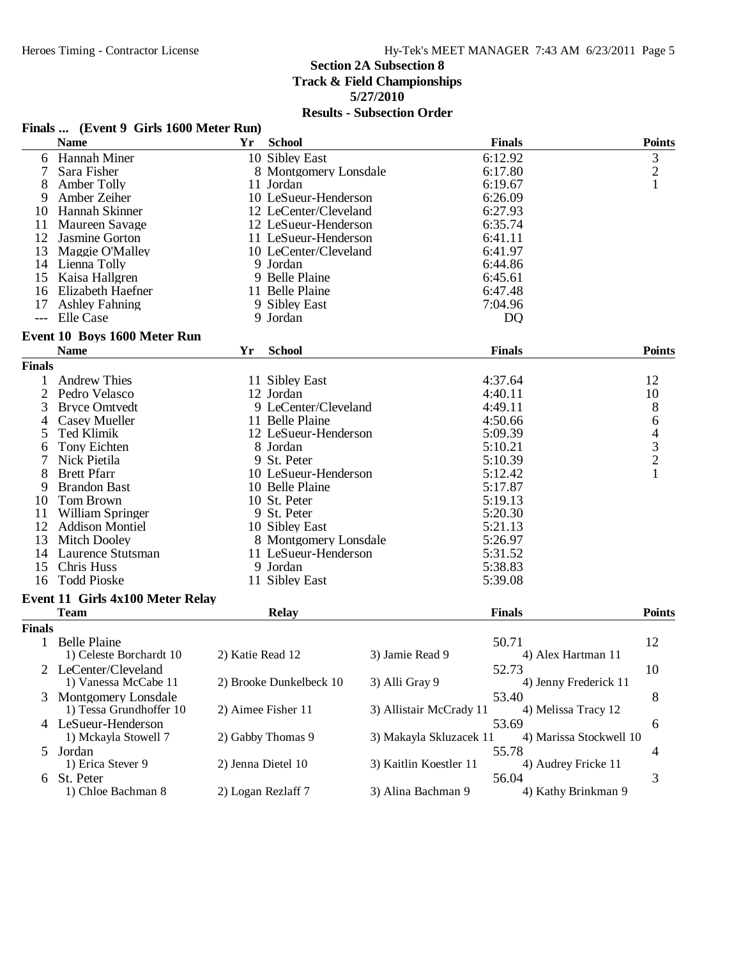# **Section 2A Subsection 8 Track & Field Championships 5/27/2010**

|  | Finals  (Event 9 Girls 1600 Meter Run) |  |  |  |  |
|--|----------------------------------------|--|--|--|--|
|--|----------------------------------------|--|--|--|--|

|               | <b>Name</b>                      | Yr                 | <b>School</b>           |                         | <b>Finals</b>  |                         | <b>Points</b>  |
|---------------|----------------------------------|--------------------|-------------------------|-------------------------|----------------|-------------------------|----------------|
| 6             | <b>Hannah Miner</b>              |                    | 10 Sibley East          |                         | 6:12.92        |                         | 3              |
| 7             | Sara Fisher                      |                    | 8 Montgomery Lonsdale   |                         | 6:17.80        |                         | $\overline{c}$ |
| 8             | Amber Tolly                      |                    | 11 Jordan               |                         | 6:19.67        |                         | 1              |
| 9             | Amber Zeiher                     |                    | 10 LeSueur-Henderson    |                         | 6:26.09        |                         |                |
| 10            | Hannah Skinner                   |                    | 12 LeCenter/Cleveland   |                         | 6:27.93        |                         |                |
| 11            | Maureen Savage                   |                    | 12 LeSueur-Henderson    |                         | 6:35.74        |                         |                |
| 12            | Jasmine Gorton                   |                    | 11 LeSueur-Henderson    |                         | 6:41.11        |                         |                |
| 13            | Maggie O'Malley                  |                    | 10 LeCenter/Cleveland   |                         | 6:41.97        |                         |                |
|               | 14 Lienna Tolly                  |                    | 9 Jordan                |                         | 6:44.86        |                         |                |
| 15            | Kaisa Hallgren                   |                    | 9 Belle Plaine          |                         | 6:45.61        |                         |                |
| 16            | <b>Elizabeth Haefner</b>         |                    | 11 Belle Plaine         |                         | 6:47.48        |                         |                |
| 17            | <b>Ashley Fahning</b>            |                    | 9 Sibley East           |                         | 7:04.96        |                         |                |
|               | --- Elle Case                    |                    | 9 Jordan                |                         | D <sub>Q</sub> |                         |                |
|               |                                  |                    |                         |                         |                |                         |                |
|               | Event 10 Boys 1600 Meter Run     |                    |                         |                         |                |                         |                |
|               | <b>Name</b>                      | Yr                 | <b>School</b>           |                         | <b>Finals</b>  |                         | <b>Points</b>  |
| <b>Finals</b> |                                  |                    |                         |                         |                |                         |                |
|               | <b>Andrew Thies</b>              |                    | 11 Sibley East          |                         | 4:37.64        |                         | 12             |
| 2             | Pedro Velasco                    |                    | 12 Jordan               |                         | 4:40.11        |                         | 10             |
| 3             | <b>Bryce Omtvedt</b>             |                    | 9 LeCenter/Cleveland    |                         | 4:49.11        |                         | $8\,$          |
| 4             | <b>Casey Mueller</b>             |                    | 11 Belle Plaine         |                         | 4:50.66        |                         | 6              |
| 5             | Ted Klimik                       |                    | 12 LeSueur-Henderson    |                         | 5:09.39        |                         | 4              |
| 6             | Tony Eichten                     |                    | 8 Jordan                |                         | 5:10.21        |                         |                |
|               | Nick Pietila                     |                    | 9 St. Peter             |                         | 5:10.39        |                         | $\frac{3}{2}$  |
| 8             | <b>Brett Pfarr</b>               |                    | 10 LeSueur-Henderson    |                         | 5:12.42        |                         | 1              |
| 9             | <b>Brandon Bast</b>              |                    | 10 Belle Plaine         |                         | 5:17.87        |                         |                |
| 10            | Tom Brown                        |                    | 10 St. Peter            |                         | 5:19.13        |                         |                |
| 11            | William Springer                 |                    | 9 St. Peter             |                         | 5:20.30        |                         |                |
|               | 12 Addison Montiel               |                    | 10 Sibley East          |                         | 5:21.13        |                         |                |
| 13            |                                  |                    |                         |                         | 5:26.97        |                         |                |
|               | <b>Mitch Dooley</b>              |                    | 8 Montgomery Lonsdale   |                         |                |                         |                |
| 14            | Laurence Stutsman                |                    | 11 LeSueur-Henderson    |                         | 5:31.52        |                         |                |
| 15            | Chris Huss                       |                    | 9 Jordan                |                         | 5:38.83        |                         |                |
| 16            | <b>Todd Pioske</b>               |                    | 11 Sibley East          |                         | 5:39.08        |                         |                |
|               | Event 11 Girls 4x100 Meter Relay |                    |                         |                         |                |                         |                |
|               | <b>Team</b>                      |                    | <b>Relay</b>            |                         | <b>Finals</b>  |                         | <b>Points</b>  |
| <b>Finals</b> |                                  |                    |                         |                         |                |                         |                |
|               | 1 Belle Plaine                   |                    |                         |                         | 50.71          |                         | 12             |
|               | 1) Celeste Borchardt 10          | 2) Katie Read 12   |                         | 3) Jamie Read 9         |                | 4) Alex Hartman 11      |                |
|               | 2 LeCenter/Cleveland             |                    |                         |                         | 52.73          |                         | 10             |
|               | 1) Vanessa McCabe 11             |                    | 2) Brooke Dunkelbeck 10 | 3) Alli Gray 9          |                | 4) Jenny Frederick 11   |                |
| 3             | Montgomery Lonsdale              |                    |                         |                         | 53.40          |                         |                |
|               | 1) Tessa Grundhoffer 10          |                    | 2) Aimee Fisher 11      | 3) Allistair McCrady 11 |                |                         | 8              |
|               |                                  |                    |                         |                         |                | 4) Melissa Tracy 12     |                |
|               | 4 LeSueur-Henderson              |                    |                         |                         | 53.69          |                         | 6              |
|               | 1) Mckayla Stowell 7             |                    | 2) Gabby Thomas 9       | 3) Makayla Skluzacek 11 |                | 4) Marissa Stockwell 10 |                |
| $\mathcal{L}$ | Jordan                           |                    |                         |                         | 55.78          |                         | 4              |
|               | 1) Erica Stever 9                | 2) Jenna Dietel 10 |                         | 3) Kaitlin Koestler 11  |                | 4) Audrey Fricke 11     |                |
| 6             | St. Peter                        |                    |                         |                         | 56.04          |                         | 3              |
|               | 1) Chloe Bachman 8               | 2) Logan Rezlaff 7 |                         | 3) Alina Bachman 9      |                | 4) Kathy Brinkman 9     |                |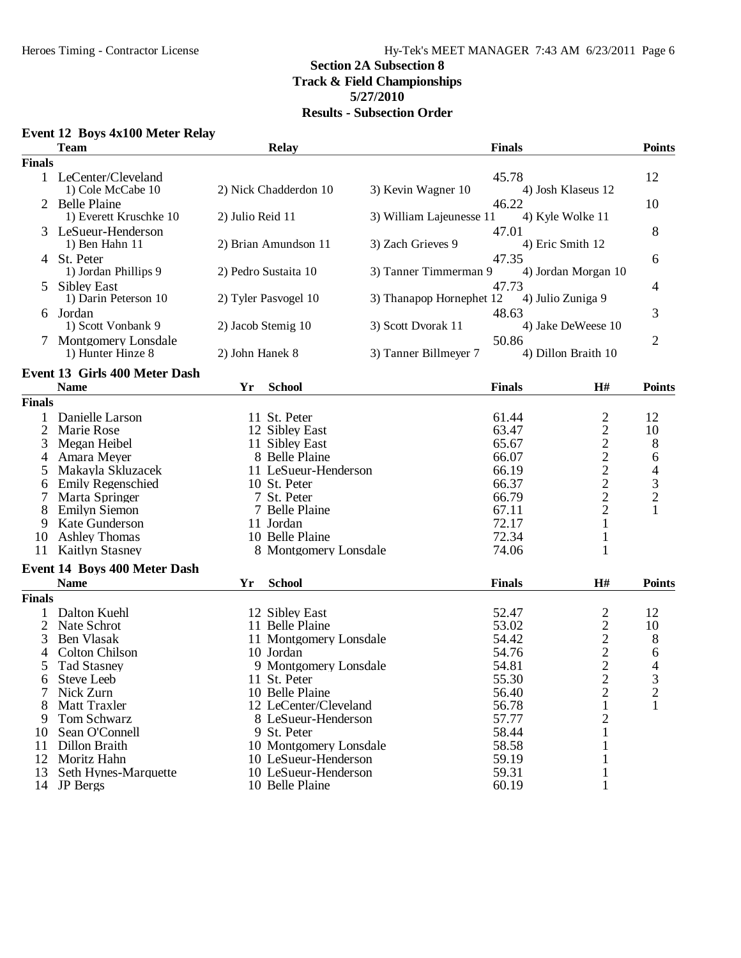# **Section 2A Subsection 8 Track & Field Championships**

# **5/27/2010**

## **Results - Subsection Order**

### **Event 12 Boys 4x100 Meter Relay**

|                | <b>Team</b>                         |                  | <b>Relay</b>           |                          | <b>Finals</b> |                                                 | <b>Points</b>            |
|----------------|-------------------------------------|------------------|------------------------|--------------------------|---------------|-------------------------------------------------|--------------------------|
| <b>Finals</b>  |                                     |                  |                        |                          |               |                                                 |                          |
|                | 1 LeCenter/Cleveland                |                  |                        |                          | 45.78         |                                                 | 12                       |
|                | 1) Cole McCabe 10                   |                  | 2) Nick Chadderdon 10  | 3) Kevin Wagner 10       |               | 4) Josh Klaseus 12                              |                          |
| 2              | <b>Belle Plaine</b>                 |                  |                        |                          | 46.22         |                                                 | 10                       |
|                | 1) Everett Kruschke 10              | 2) Julio Reid 11 |                        | 3) William Lajeunesse 11 |               | 4) Kyle Wolke 11                                |                          |
|                | LeSueur-Henderson                   |                  |                        |                          | 47.01         |                                                 | 8                        |
|                | 1) Ben Hahn 11                      |                  | 2) Brian Amundson 11   | 3) Zach Grieves 9        |               | 4) Eric Smith 12                                |                          |
|                | 4 St. Peter                         |                  |                        |                          | 47.35         |                                                 | 6                        |
|                | 1) Jordan Phillips 9                |                  | 2) Pedro Sustaita 10   | 3) Tanner Timmerman 9    |               | 4) Jordan Morgan 10                             |                          |
| 5              | <b>Sibley East</b>                  |                  |                        |                          | 47.73         |                                                 | 4                        |
|                | 1) Darin Peterson 10                |                  | 2) Tyler Pasvogel 10   | 3) Thanapop Hornephet 12 |               | 4) Julio Zuniga 9                               |                          |
| 6              | Jordan                              |                  |                        |                          | 48.63         |                                                 | 3                        |
|                | 1) Scott Vonbank 9                  |                  | 2) Jacob Stemig 10     | 3) Scott Dvorak 11       |               | 4) Jake DeWeese 10                              |                          |
|                | 7 Montgomery Lonsdale               |                  |                        |                          | 50.86         |                                                 | $\overline{2}$           |
|                | 1) Hunter Hinze 8                   | 2) John Hanek 8  |                        | 3) Tanner Billmeyer 7    |               | 4) Dillon Braith 10                             |                          |
|                | Event 13 Girls 400 Meter Dash       |                  |                        |                          |               |                                                 |                          |
|                | <b>Name</b>                         | Yr               | <b>School</b>          |                          | <b>Finals</b> | H#                                              | <b>Points</b>            |
| <b>Finals</b>  |                                     |                  |                        |                          |               |                                                 |                          |
|                | Danielle Larson                     |                  | 11 St. Peter           |                          | 61.44         |                                                 | 12                       |
| $\overline{2}$ | Marie Rose                          |                  | 12 Sibley East         |                          | 63.47         | 22222222                                        | 10                       |
| 3              | Megan Heibel                        |                  | 11 Sibley East         |                          | 65.67         |                                                 | 8                        |
| 4              | Amara Meyer                         |                  | 8 Belle Plaine         |                          | 66.07         |                                                 | 6                        |
| 5              | Makayla Skluzacek                   |                  | 11 LeSueur-Henderson   |                          | 66.19         |                                                 | $\overline{\mathcal{A}}$ |
|                | <b>Emily Regenschied</b>            |                  | 10 St. Peter           |                          | 66.37         |                                                 |                          |
| 6              | Marta Springer                      |                  | 7 St. Peter            |                          | 66.79         |                                                 | $\frac{3}{2}$            |
|                |                                     |                  |                        |                          |               |                                                 | $\mathbf{1}$             |
| 8              | <b>Emilyn Siemon</b>                |                  | 7 Belle Plaine         |                          | 67.11         |                                                 |                          |
| 9              | Kate Gunderson                      |                  | 11 Jordan              |                          | 72.17         | $\mathbf{1}$                                    |                          |
| 10             | <b>Ashley Thomas</b>                |                  | 10 Belle Plaine        |                          | 72.34         | $\mathbf{1}$                                    |                          |
| 11             | <b>Kaitlyn Stasney</b>              |                  | 8 Montgomery Lonsdale  |                          | 74.06         | 1                                               |                          |
|                | <b>Event 14 Boys 400 Meter Dash</b> |                  |                        |                          |               |                                                 |                          |
|                | <b>Name</b>                         | Yr               | <b>School</b>          |                          | <b>Finals</b> | H#                                              | <b>Points</b>            |
| <b>Finals</b>  |                                     |                  |                        |                          |               |                                                 |                          |
|                | Dalton Kuehl                        |                  | 12 Sibley East         |                          | 52.47         |                                                 | 12                       |
| 2              | Nate Schrot                         |                  | 11 Belle Plaine        |                          | 53.02         |                                                 | 10                       |
| 3              | <b>Ben Vlasak</b>                   |                  | 11 Montgomery Lonsdale |                          | 54.42         |                                                 | 8                        |
|                | <b>Colton Chilson</b>               |                  | 10 Jordan              |                          | 54.76         |                                                 | 6                        |
| 5              | <b>Tad Stasney</b>                  |                  | 9 Montgomery Lonsdale  |                          | 54.81         |                                                 | 4                        |
| 6              | Steve Leeb                          |                  | 11 St. Peter           |                          | 55.30         | $\frac{2}{2}$<br>$\frac{2}{2}$<br>$\frac{2}{2}$ | 3                        |
|                | Nick Zurn                           |                  | 10 Belle Plaine        |                          | 56.40         | 2                                               | $\overline{c}$           |
|                | Matt Traxler                        |                  | 12 LeCenter/Cleveland  |                          | 56.78         | $\mathbf{1}$                                    | 1                        |
|                | Tom Schwarz                         |                  |                        |                          | 57.77         |                                                 |                          |
| 9              |                                     |                  | 8 LeSueur-Henderson    |                          |               | $\overline{c}$                                  |                          |
| 10             | Sean O'Connell                      |                  | 9 St. Peter            |                          | 58.44         | 1                                               |                          |
| 11             | Dillon Braith                       |                  | 10 Montgomery Lonsdale |                          | 58.58         |                                                 |                          |
| 12             | Moritz Hahn                         |                  | 10 LeSueur-Henderson   |                          | 59.19         | 1                                               |                          |
| 13             | Seth Hynes-Marquette                |                  | 10 LeSueur-Henderson   |                          | 59.31         | 1                                               |                          |
|                | 14 JP Bergs                         |                  | 10 Belle Plaine        |                          | 60.19         | 1                                               |                          |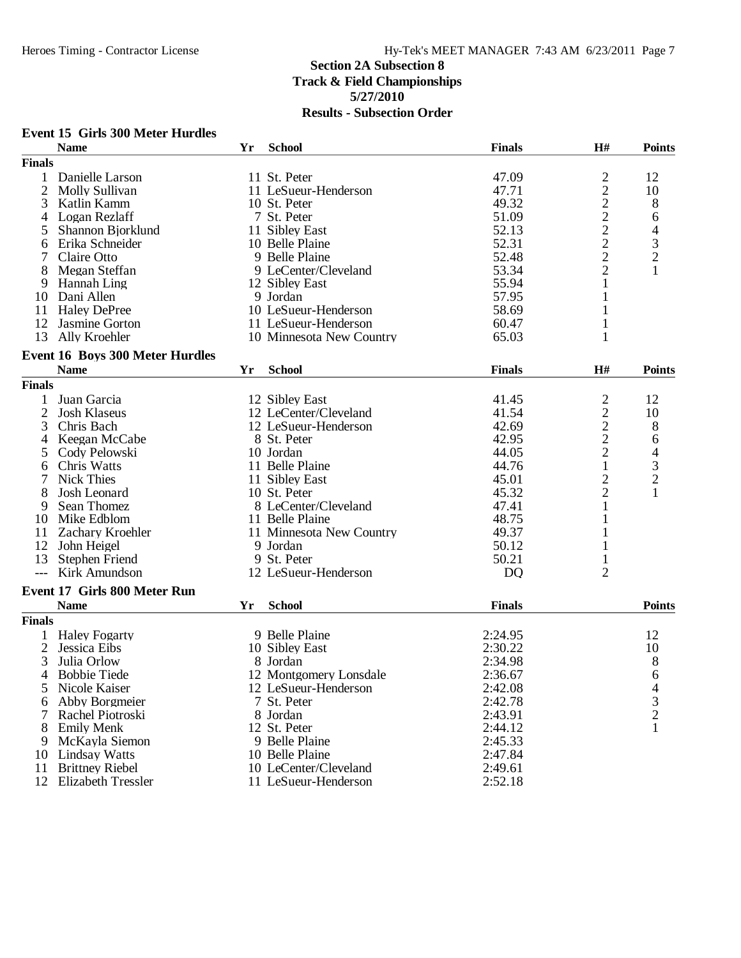#### **Event 15 Girls 300 Meter Hurdles Name Yr School Finals H# Points Finals** 1 Danielle Larson 11 St. Peter 11 St. Peter 11 St. Peter 17.09 2 12<br>
2 Molly Sullivan 11 LeSueur-Henderson 11 1 2 10<br>
3 Katlin Kamm 10 St. Peter 19.32 2 8 2 Molly Sullivan 11 LeSueur-Henderson<br>3 Katlin Kamm 10 St. Peter 3 Katlin Kamm 10 St. Peter 49.32 2 8<br>4 Logan Rezlaff 7 St. Peter 51.09 2 6 4 Logan Rezlaff 1 1 Sibley East 1 2 4 Shannon Bjorklund 1 Sibley East 1 51.09 2 6 5 Shannon Bjorklund 11 Sibley East 52.13 2 4<br>
6 Erika Schneider 10 Belle Plaine 52.31 2 3<br>
7 Claire Otto 9 Belle Plaine 52.48 2 2 6 Erika Schneider 10 Belle Plaine 52.31 2 3<br>
7 Claire Otto 10 Belle Plaine 52.48 2 2 9 Belle Plaine 52.48 2 2<br>
9 LeCenter/Cleveland 53.34 2 1 8 Megan Steffan 9 LeCenter/Cleveland 53.34 2 1 9 Hannah Ling 12 Sibley East 1 55.94 1 1 Sibley East 1 55.94 1 1 1 2 Sibley East 1 1 2 3 1 1 2 3 1 1 2 3 1 1 2 3 1 1 2 3 1 1 2 3 1 1 2 1 1 2 3 1 1 2 3 1 1 2 1 1 2 1 1 2 1 1 2 1 1 2 1 1 2 1 1 2 1 1 2 1 1 2 1 1 2 1 1 2 1 1 2 10 Dani Allen 19 Sordan 19 Jordan 11 Halev DePree 10 Control 10 LeSueur-Henderson 57.95 10 1680 169 11 Haley DePree 10 LeSueur-Henderson 58.69 1<br>12 Jasmine Gorton 11 LeSueur-Henderson 60.47 1 12 Jasmine Gorton 11 LeSueur-Henderson 60.47 1<br>13 Ally Kroehler 10 Minnesota New Country 65.03 1 10 Minnesota New Country 65.03 **Event 16 Boys 300 Meter Hurdles Name Yr School Finals H# Points Finals** 1 Juan Garcia 12 Sibley East 12 Al. 41.45 2 12<br>2 Josh Klaseus 12 LeCenter/Cleveland 41.54 2 10 2 Josh Klaseus 12 LeCenter/Cleveland 41.54 2 10<br>3 Chris Bach 12 LeSueur-Henderson 42.69 2 8 12 LeSueur-Henderson 42.69 2 8<br>8 St. Peter 42.95 2 6 4 Keegan McCabe 8 St. Peter 42.95 2<br>5 Cody Pelowski 10 Jordan 44.05 2 5 Cody Pelowski 10 Jordan 10 Hanne 10 Jordan 11 Belle Plaine 1 44.05 2 4<br>6 Chris Watts 11 Belle Plaine 1 44.76 1 3 6 Chris Watts 11 Belle Plaine 1 44.76 1 3<br>
11 Sibley East 1 45.01 2 2 11 Sibley East 11 Sibley East 45.01 2 2<br>
8 Josh Leonard 10 St. Peter 45.32 2 1 8 Josh Leonard 10 St. Peter 45.32 2 1 9 Sean Thomez 8 LeCenter/Cleveland 47.41 1<br>
0 Mike Edblom 11 Belle Plaine 48.75 1 10 Mike Edblom 11 Belle Plaine 48.75 1<br>11 Zachary Kroehler 11 Minnesota New Country 49.37 1 11 Minnesota New Country 49.37 1<br>
9 Jordan 50.12 1 12 John Heigel 9 Jordan 50.12 1<br>13 Stephen Friend 9 St. Peter 50.21 1 13 Stephen Friend 9 St. Peter 50.21 1<br>
-- Kirk Amundson 12 LeSueur-Henderson DO 2 12 LeSueur-Henderson **Event 17 Girls 800 Meter Run Name Yr School Finals Points Finals** 1 Haley Fogarty 12<br>
2 Jessica Eibs 10 Sibley East 10 Sibley East 2:30.22 10 2 Jessica Eibs 10 Sibley East 2:30.22 10<br>3 Julia Orlow 8 Jordan 2:34.98 8 3 Julia Orlow 8 Jordan 2:34.98 8 4 Bobbie Tiede 12 Montgomery Lonsdale 2:36.67 6<br>5 Nicole Kaiser 12 LeSueur-Henderson 2:42.08 4 12 LeSueur-Henderson 2:42.08 4<br>
7 St. Peter 2:42.78 3 6 Abby Borgmeier 7 St. Peter 2:42.78 3<br>
7 Rachel Piotroski 8 Jordan 2:43.91 2 7 Rachel Piotroski 8 Jordan 2:43.91 2<br>
8 Emily Menk 12 St. Peter 2:44.12 1 8 Emily Menk 12 St. Peter 2:44.12 1 9 McKayla Siemon 9 Belle Plaine 2:45.33<br>
0 Lindsay Watts 10 Belle Plaine 2:47.84 10 Lindsay Watts 10 Belle Plaine 2:47.84<br>11 Brittney Riebel 10 LeCenter/Cleveland 2:49.61 11 Brittney Riebel 10 LeCenter/Cleveland 2:49.61<br>12 Elizabeth Tressler 11 LeSueur-Henderson 2:52.18 11 LeSueur-Henderson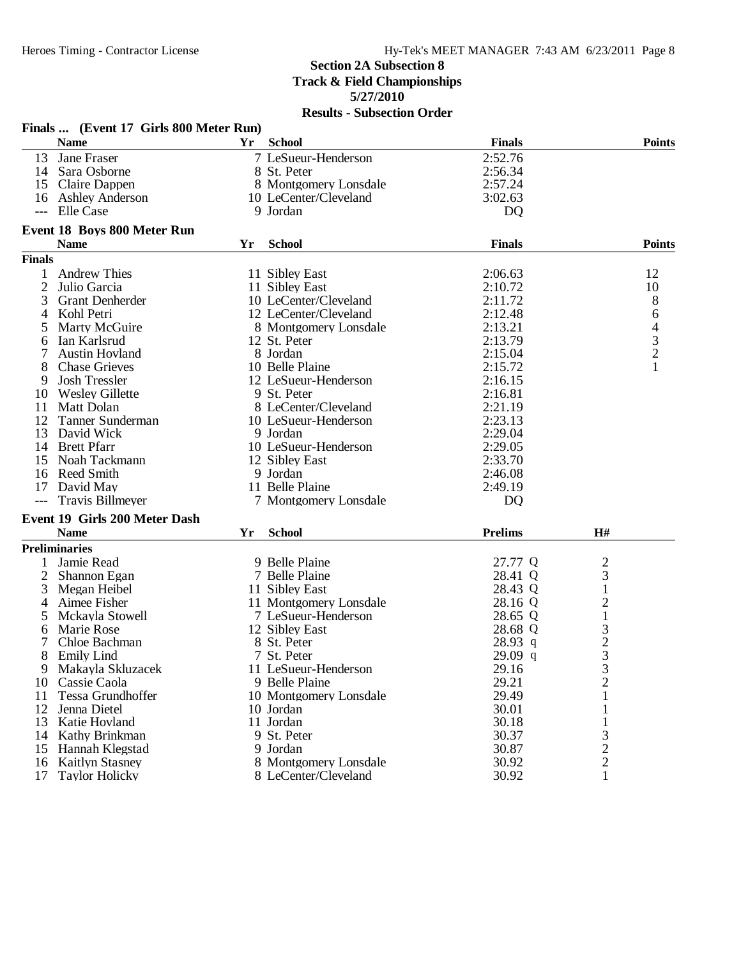|                | Finals  (Event 17 Girls 800 Meter Run) |    |                        |                |                                  |                |
|----------------|----------------------------------------|----|------------------------|----------------|----------------------------------|----------------|
|                | <b>Name</b>                            | Yr | <b>School</b>          | <b>Finals</b>  |                                  | <b>Points</b>  |
| 13             | <b>Jane Fraser</b>                     |    | 7 LeSueur-Henderson    | 2:52.76        |                                  |                |
|                | 14 Sara Osborne                        |    | 8 St. Peter            | 2:56.34        |                                  |                |
|                | 15 Claire Dappen                       |    | 8 Montgomery Lonsdale  | 2:57.24        |                                  |                |
|                | 16 Ashley Anderson                     |    | 10 LeCenter/Cleveland  | 3:02.63        |                                  |                |
|                | --- Elle Case                          |    | 9 Jordan               | <b>DQ</b>      |                                  |                |
|                | <b>Event 18 Boys 800 Meter Run</b>     |    |                        |                |                                  |                |
|                | <b>Name</b>                            | Yr | <b>School</b>          | <b>Finals</b>  |                                  | <b>Points</b>  |
| <b>Finals</b>  |                                        |    |                        |                |                                  |                |
| 1              | <b>Andrew Thies</b>                    |    | 11 Sibley East         | 2:06.63        |                                  | 12             |
| $\overline{2}$ |                                        |    | 11 Sibley East         | 2:10.72        |                                  | 10             |
|                | Julio Garcia                           |    |                        |                |                                  |                |
| 3              | <b>Grant Denherder</b>                 |    | 10 LeCenter/Cleveland  | 2:11.72        |                                  | 8              |
| 4              | Kohl Petri                             |    | 12 LeCenter/Cleveland  | 2:12.48        |                                  | 6              |
| 5              | Marty McGuire                          |    | 8 Montgomery Lonsdale  | 2:13.21        |                                  | $\overline{4}$ |
| 6              | Ian Karlsrud                           |    | 12 St. Peter           | 2:13.79        |                                  | $\mathfrak{Z}$ |
| 7              | <b>Austin Hovland</b>                  |    | 8 Jordan               | 2:15.04        |                                  | $\overline{c}$ |
| 8              | <b>Chase Grieves</b>                   |    | 10 Belle Plaine        | 2:15.72        |                                  |                |
| 9              | <b>Josh Tressler</b>                   |    | 12 LeSueur-Henderson   | 2:16.15        |                                  |                |
| 10             | <b>Wesley Gillette</b>                 |    | 9 St. Peter            | 2:16.81        |                                  |                |
| 11             | Matt Dolan                             |    | 8 LeCenter/Cleveland   | 2:21.19        |                                  |                |
| 12             | Tanner Sunderman                       |    | 10 LeSueur-Henderson   | 2:23.13        |                                  |                |
| 13             | David Wick                             |    | 9 Jordan               | 2:29.04        |                                  |                |
|                | 14 Brett Pfarr                         |    | 10 LeSueur-Henderson   | 2:29.05        |                                  |                |
|                | 15 Noah Tackmann                       |    | 12 Sibley East         | 2:33.70        |                                  |                |
| 16             | <b>Reed Smith</b>                      |    | 9 Jordan               | 2:46.08        |                                  |                |
| 17             | David May                              |    | 11 Belle Plaine        | 2:49.19        |                                  |                |
| $---$          | <b>Travis Billmeyer</b>                |    | 7 Montgomery Lonsdale  | <b>DQ</b>      |                                  |                |
|                | Event 19 Girls 200 Meter Dash          |    |                        |                |                                  |                |
|                | <b>Name</b>                            | Yr | <b>School</b>          | <b>Prelims</b> | H#                               |                |
|                | <b>Preliminaries</b>                   |    |                        |                |                                  |                |
| 1              | Jamie Read                             |    | 9 Belle Plaine         | 27.77 Q        | $\overline{c}$                   |                |
| $\overline{2}$ | Shannon Egan                           |    | 7 Belle Plaine         | 28.41 Q        | 3                                |                |
| 3              | Megan Heibel                           |    | 11 Sibley East         | 28.43 Q        | 1                                |                |
| 4              | Aimee Fisher                           |    | 11 Montgomery Lonsdale | 28.16 Q        | $\overline{c}$                   |                |
| 5              | Mckayla Stowell                        |    | 7 LeSueur-Henderson    | 28.65 Q        | $\,1$                            |                |
| 6              | Marie Rose                             |    | 12 Sibley East         | 28.68 Q        | 3                                |                |
| 7              | Chloe Bachman                          |    | 8 St. Peter            | 28.93 q        | $\overline{\mathbf{c}}$          |                |
| 8              | <b>Emily Lind</b>                      |    | 7 St. Peter            | $29.09$ q      | 3                                |                |
| 9.             | Makayla Skluzacek                      |    | 11 LeSueur-Henderson   | 29.16          |                                  |                |
| 10             | Cassie Caola                           |    | 9 Belle Plaine         | 29.21          | $\mathfrak{I}$<br>$\overline{c}$ |                |
| 11             | Tessa Grundhoffer                      |    | 10 Montgomery Lonsdale | 29.49          |                                  |                |
| 12             |                                        |    |                        |                |                                  |                |
|                | Jenna Dietel                           |    | 10 Jordan              | 30.01          |                                  |                |
| 13             | Katie Hovland                          |    | 11 Jordan              | 30.18          |                                  |                |
| 14             | Kathy Brinkman                         |    | 9 St. Peter            | 30.37          | 3                                |                |
| 15             | Hannah Klegstad                        |    | 9 Jordan               | 30.87          | 2                                |                |
| 16             | <b>Kaitlyn Stasney</b>                 |    | 8 Montgomery Lonsdale  | 30.92          | $\mathbf{2}$                     |                |
| 17             | <b>Taylor Holicky</b>                  |    | 8 LeCenter/Cleveland   | 30.92          | 1                                |                |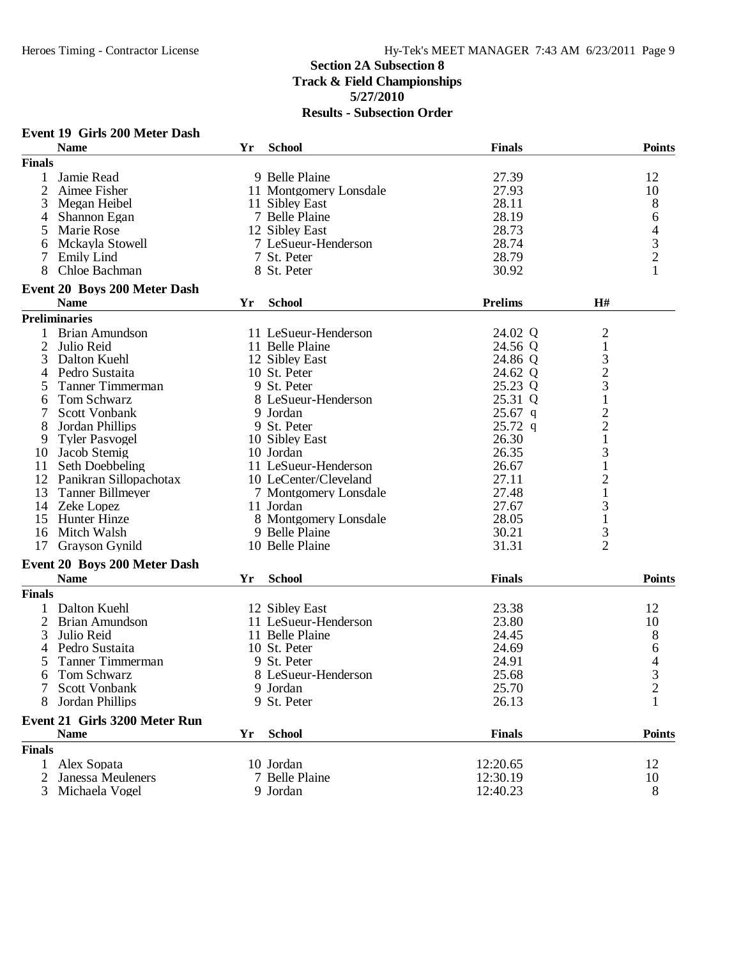|               | Event 19 Girls 200 Meter Dash               |    |                        |                |                                            |                                                 |
|---------------|---------------------------------------------|----|------------------------|----------------|--------------------------------------------|-------------------------------------------------|
|               | <b>Name</b>                                 | Yr | <b>School</b>          | <b>Finals</b>  |                                            | <b>Points</b>                                   |
| <b>Finals</b> |                                             |    |                        |                |                                            |                                                 |
| 1             | Jamie Read                                  |    | 9 Belle Plaine         | 27.39          |                                            | 12                                              |
| 2             | Aimee Fisher                                |    | 11 Montgomery Lonsdale | 27.93          |                                            | 10                                              |
| 3             | Megan Heibel                                |    | 11 Sibley East         | 28.11          |                                            | 8                                               |
| 4             | Shannon Egan                                |    | 7 Belle Plaine         | 28.19          |                                            | 6                                               |
| 5             | Marie Rose                                  |    | 12 Sibley East         | 28.73          |                                            |                                                 |
| 6             | Mckayla Stowell                             |    | 7 LeSueur-Henderson    | 28.74          |                                            |                                                 |
|               | <b>Emily Lind</b>                           |    | 7 St. Peter            | 28.79          |                                            |                                                 |
| 7<br>8        | Chloe Bachman                               |    | 8 St. Peter            | 30.92          |                                            | $\begin{array}{c} 4 \\ 3 \\ 2 \\ 1 \end{array}$ |
|               |                                             |    |                        |                |                                            |                                                 |
|               | Event 20 Boys 200 Meter Dash<br><b>Name</b> | Yr | <b>School</b>          | <b>Prelims</b> | H#                                         |                                                 |
|               |                                             |    |                        |                |                                            |                                                 |
|               | <b>Preliminaries</b>                        |    |                        |                |                                            |                                                 |
|               | <b>Brian Amundson</b>                       |    | 11 LeSueur-Henderson   | 24.02 Q        | $\overline{c}$                             |                                                 |
| 2             | Julio Reid                                  |    | 11 Belle Plaine        | 24.56 Q        | $\mathbf 1$                                |                                                 |
| 3             | Dalton Kuehl                                |    | 12 Sibley East         | 24.86 Q        | $\begin{array}{c} 3 \\ 2 \\ 3 \end{array}$ |                                                 |
| 4             | Pedro Sustaita                              |    | 10 St. Peter           | 24.62 Q        |                                            |                                                 |
| 5             | Tanner Timmerman                            |    | 9 St. Peter            | 25.23 Q        |                                            |                                                 |
| 6             | Tom Schwarz                                 |    | 8 LeSueur-Henderson    | 25.31 Q        | $\mathbf{1}$                               |                                                 |
| 7             | Scott Vonbank                               |    | 9 Jordan               | $25.67$ q      |                                            |                                                 |
| 8             | Jordan Phillips                             |    | 9 St. Peter            | $25.72$ q      | $\frac{2}{2}$                              |                                                 |
| 9             | <b>Tyler Pasvogel</b>                       |    | 10 Sibley East         | 26.30          | $\mathbf{1}$                               |                                                 |
| 10            | Jacob Stemig                                |    | 10 Jordan              | 26.35          | 3                                          |                                                 |
| 11            | Seth Doebbeling                             |    | 11 LeSueur-Henderson   | 26.67          | $\mathbf{1}$                               |                                                 |
| 12            | Panikran Sillopachotax                      |    | 10 LeCenter/Cleveland  | 27.11          | $\overline{c}$                             |                                                 |
| 13            | <b>Tanner Billmeyer</b>                     |    | 7 Montgomery Lonsdale  | 27.48          | $\mathbf{1}$                               |                                                 |
|               |                                             |    | 11 Jordan              | 27.67          |                                            |                                                 |
|               | 14 Zeke Lopez                               |    |                        |                | 3                                          |                                                 |
|               | 15 Hunter Hinze                             |    | 8 Montgomery Lonsdale  | 28.05          | $\mathbf{1}$                               |                                                 |
| 16            | Mitch Walsh                                 |    | 9 Belle Plaine         | 30.21          | 3                                          |                                                 |
| 17            | <b>Grayson Gynild</b>                       |    | 10 Belle Plaine        | 31.31          | $\overline{2}$                             |                                                 |
|               | Event 20 Boys 200 Meter Dash                |    |                        |                |                                            |                                                 |
|               | <b>Name</b>                                 | Yr | <b>School</b>          | <b>Finals</b>  |                                            | <b>Points</b>                                   |
| <b>Finals</b> |                                             |    |                        |                |                                            |                                                 |
|               | 1 Dalton Kuehl                              |    | 12 Sibley East         | 23.38          |                                            | 12                                              |
| 2             | <b>Brian Amundson</b>                       |    | 11 LeSueur-Henderson   | 23.80          |                                            | 10                                              |
| 3             | Julio Reid                                  |    | 11 Belle Plaine        | 24.45          |                                            | 8                                               |
| 4             | Pedro Sustaita                              |    | 10 St. Peter           | 24.69          |                                            | 6                                               |
|               | Tanner Timmerman                            |    | 9 St. Peter            | 24.91          |                                            | 4                                               |
|               | Tom Schwarz                                 |    | 8 LeSueur-Henderson    | 25.68          |                                            | 3                                               |
|               | Scott Vonbank                               |    | 9 Jordan               | 25.70          |                                            | $\overline{c}$                                  |
| 8             | Jordan Phillips                             |    | 9 St. Peter            | 26.13          |                                            | 1                                               |
|               |                                             |    |                        |                |                                            |                                                 |
|               | <b>Event 21 Girls 3200 Meter Run</b>        |    |                        |                |                                            |                                                 |
|               | <b>Name</b>                                 | Yr | <b>School</b>          | <b>Finals</b>  |                                            | <b>Points</b>                                   |
| <b>Finals</b> |                                             |    |                        |                |                                            |                                                 |
| $\mathbf{1}$  | Alex Sopata                                 |    | 10 Jordan              | 12:20.65       |                                            | 12                                              |
|               | Janessa Meuleners                           |    | 7 Belle Plaine         | 12:30.19       |                                            | 10                                              |
| 3             | Michaela Vogel                              |    | 9 Jordan               | 12:40.23       |                                            | 8                                               |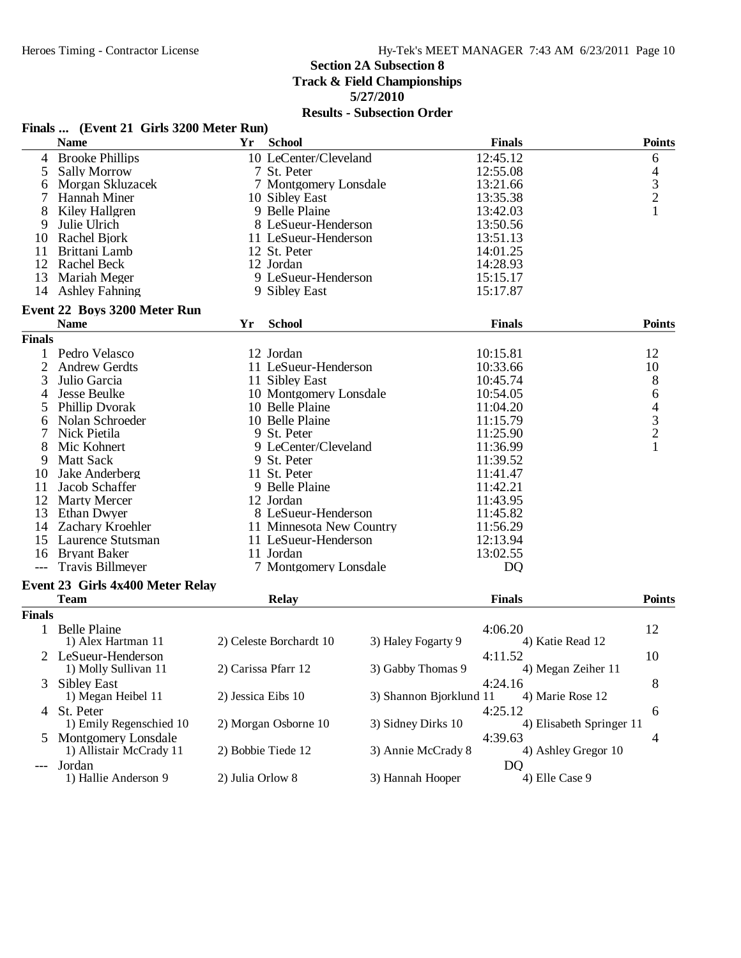## **Section 2A Subsection 8**

**Track & Field Championships**

**5/27/2010**

|               | Finals  (Event 21 Girls 3200 Meter Run)         |                    |                          |                         |                               |                |
|---------------|-------------------------------------------------|--------------------|--------------------------|-------------------------|-------------------------------|----------------|
|               | <b>Name</b>                                     | Yr                 | <b>School</b>            |                         | <b>Finals</b>                 | <b>Points</b>  |
|               | 4 Brooke Phillips                               |                    | 10 LeCenter/Cleveland    |                         | 12:45.12                      | 6              |
| 5             | <b>Sally Morrow</b>                             |                    | 7 St. Peter              |                         | 12:55.08                      | 4              |
| 6             | Morgan Skluzacek                                |                    | 7 Montgomery Lonsdale    |                         | 13:21.66                      | $\frac{3}{2}$  |
|               | Hannah Miner                                    |                    | 10 Sibley East           |                         | 13:35.38                      |                |
| 8             | Kiley Hallgren                                  |                    | 9 Belle Plaine           |                         | 13:42.03                      | $\mathbf{1}$   |
| 9             | Julie Ulrich                                    |                    | 8 LeSueur-Henderson      |                         | 13:50.56                      |                |
|               | 10 Rachel Bjork                                 |                    | 11 LeSueur-Henderson     |                         | 13:51.13                      |                |
| 11            | Brittani Lamb                                   |                    | 12 St. Peter             |                         | 14:01.25                      |                |
|               | 12 Rachel Beck                                  |                    | 12 Jordan                |                         | 14:28.93                      |                |
| 13            | Mariah Meger                                    |                    | 9 LeSueur-Henderson      |                         | 15:15.17                      |                |
| 14            | <b>Ashley Fahning</b>                           |                    | 9 Sibley East            |                         | 15:17.87                      |                |
|               | Event 22 Boys 3200 Meter Run                    |                    |                          |                         |                               |                |
|               | <b>Name</b>                                     | Yr                 | <b>School</b>            |                         | <b>Finals</b>                 | <b>Points</b>  |
| <b>Finals</b> |                                                 |                    |                          |                         |                               |                |
|               | 1 Pedro Velasco                                 |                    | 12 Jordan                |                         | 10:15.81                      | 12             |
| 2             | <b>Andrew Gerdts</b>                            |                    | 11 LeSueur-Henderson     |                         | 10:33.66                      | 10             |
| 3             | Julio Garcia                                    |                    | 11 Sibley East           |                         | 10:45.74                      | $8\,$          |
| 4             | Jesse Beulke                                    |                    | 10 Montgomery Lonsdale   |                         | 10:54.05                      | 6              |
| 5             | Phillip Dvorak                                  |                    | 10 Belle Plaine          |                         | 11:04.20                      |                |
| 6             | Nolan Schroeder                                 |                    | 10 Belle Plaine          |                         | 11:15.79                      | $rac{4}{3}$    |
| 7             | Nick Pietila                                    |                    | 9 St. Peter              |                         | 11:25.90                      | $\overline{c}$ |
| 8             | Mic Kohnert                                     |                    | 9 LeCenter/Cleveland     |                         | 11:36.99                      | 1              |
| 9             | <b>Matt Sack</b>                                |                    | 9 St. Peter              |                         | 11:39.52                      |                |
| 10            | Jake Anderberg                                  |                    | 11 St. Peter             |                         | 11:41.47                      |                |
| 11            | Jacob Schaffer                                  |                    | 9 Belle Plaine           |                         | 11:42.21                      |                |
|               | 12 Marty Mercer                                 |                    | 12 Jordan                |                         | 11:43.95                      |                |
|               | 13 Ethan Dwyer                                  |                    | 8 LeSueur-Henderson      |                         | 11:45.82                      |                |
|               | 14 Zachary Kroehler                             |                    | 11 Minnesota New Country |                         | 11:56.29                      |                |
|               | 15 Laurence Stutsman                            |                    | 11 LeSueur-Henderson     |                         | 12:13.94                      |                |
|               | 16 Bryant Baker                                 |                    | 11 Jordan                |                         | 13:02.55                      |                |
|               | <b>Travis Billmeyer</b>                         |                    | 7 Montgomery Lonsdale    |                         | D <sub>Q</sub>                |                |
|               |                                                 |                    |                          |                         |                               |                |
|               | Event 23 Girls 4x400 Meter Relay<br><b>Team</b> |                    | <b>Relay</b>             |                         | <b>Finals</b>                 | <b>Points</b>  |
| <b>Finals</b> |                                                 |                    |                          |                         |                               |                |
|               | 1 Belle Plaine                                  |                    |                          |                         | 4:06.20                       | 12             |
|               | 1) Alex Hartman 11                              |                    | 2) Celeste Borchardt 10  | 3) Haley Fogarty 9      | 4) Katie Read 12              |                |
|               |                                                 |                    |                          |                         |                               |                |
|               | 2 LeSueur-Henderson<br>1) Molly Sullivan 11     |                    | 2) Carissa Pfarr 12      | 3) Gabby Thomas 9       | 4:11.52<br>4) Megan Zeiher 11 | 10             |
| 3             | <b>Sibley East</b>                              |                    |                          |                         | 4:24.16                       | 8              |
|               | 1) Megan Heibel 11                              | 2) Jessica Eibs 10 |                          | 3) Shannon Bjorklund 11 | 4) Marie Rose 12              |                |
|               | 4 St. Peter                                     |                    |                          |                         | 4:25.12                       | 6              |
|               | 1) Emily Regenschied 10                         |                    | 2) Morgan Osborne 10     | 3) Sidney Dirks 10      | 4) Elisabeth Springer 11      |                |
|               | Montgomery Lonsdale                             |                    |                          |                         | 4:39.63                       | 4              |
|               | 1) Allistair McCrady 11                         |                    | 2) Bobbie Tiede 12       | 3) Annie McCrady 8      | 4) Ashley Gregor 10           |                |
| ---           | Jordan                                          |                    |                          |                         | DQ                            |                |
|               | 1) Hallie Anderson 9                            | 2) Julia Orlow 8   |                          | 3) Hannah Hooper        | 4) Elle Case 9                |                |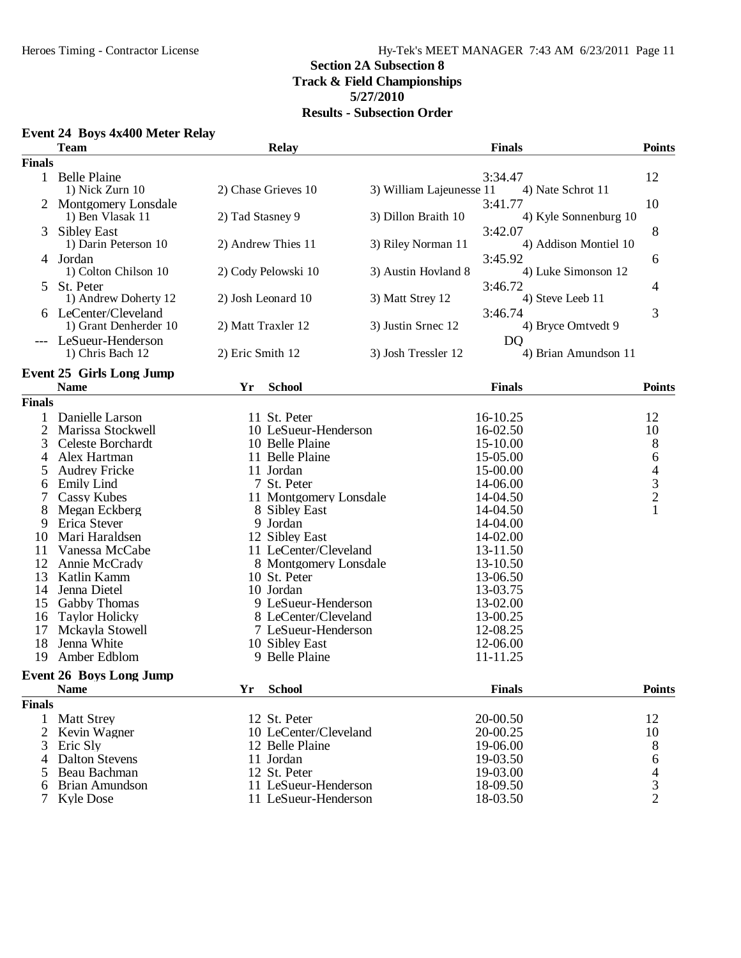#### Heroes Timing - Contractor License Hy-Tek's MEET MANAGER 7:43 AM 6/23/2011 Page 11 **Section 2A Subsection 8 Track & Field Championships 5/27/2010 Results - Subsection Order**

#### **Event 24 Boys 4x400 Meter Relay**

|               | <b>Team</b>                     |                  | <b>Relay</b>                     |                          | <b>Finals</b>         | <b>Points</b>                              |
|---------------|---------------------------------|------------------|----------------------------------|--------------------------|-----------------------|--------------------------------------------|
| <b>Finals</b> |                                 |                  |                                  |                          |                       |                                            |
|               | 1 Belle Plaine                  |                  |                                  |                          | 3:34.47               | 12                                         |
|               | 1) Nick Zurn 10                 |                  | 2) Chase Grieves 10              | 3) William Lajeunesse 11 | 4) Nate Schrot 11     |                                            |
|               | 2 Montgomery Lonsdale           |                  |                                  |                          | 3:41.77               | 10                                         |
|               | 1) Ben Vlasak 11                | 2) Tad Stasney 9 |                                  | 3) Dillon Braith 10      | 4) Kyle Sonnenburg 10 |                                            |
| 3             | <b>Sibley East</b>              |                  |                                  |                          | 3:42.07               | 8                                          |
|               | 1) Darin Peterson 10            |                  | 2) Andrew Thies 11               | 3) Riley Norman 11       | 4) Addison Montiel 10 |                                            |
|               | 4 Jordan                        |                  |                                  |                          | 3:45.92               | 6                                          |
|               | 1) Colton Chilson 10            |                  | 2) Cody Pelowski 10              | 3) Austin Hovland 8      | 4) Luke Simonson 12   |                                            |
| 5.            | St. Peter                       |                  |                                  |                          | 3:46.72               | 4                                          |
|               | 1) Andrew Doherty 12            |                  | 2) Josh Leonard 10               | 3) Matt Strey 12         | 4) Steve Leeb 11      |                                            |
| 6             | LeCenter/Cleveland              |                  |                                  |                          | 3:46.74               | 3                                          |
|               | 1) Grant Denherder 10           |                  | 2) Matt Traxler 12               | 3) Justin Srnec 12       | 4) Bryce Omtvedt 9    |                                            |
|               | LeSueur-Henderson               |                  |                                  |                          | <b>DQ</b>             |                                            |
|               | 1) Chris Bach 12                | 2) Eric Smith 12 |                                  | 3) Josh Tressler 12      | 4) Brian Amundson 11  |                                            |
|               | <b>Event 25 Girls Long Jump</b> |                  |                                  |                          |                       |                                            |
|               | <b>Name</b>                     | <b>Yr</b>        | <b>School</b>                    |                          | <b>Finals</b>         | <b>Points</b>                              |
| <b>Finals</b> |                                 |                  |                                  |                          |                       |                                            |
| 1             | Danielle Larson                 |                  | 11 St. Peter                     |                          | 16-10.25              | 12                                         |
| 2             | Marissa Stockwell               |                  | 10 LeSueur-Henderson             |                          | 16-02.50              | 10                                         |
| 3             | Celeste Borchardt               |                  | 10 Belle Plaine                  |                          | 15-10.00              | $\,8\,$                                    |
| 4             | Alex Hartman                    |                  | 11 Belle Plaine                  |                          | 15-05.00              | $\sqrt{6}$                                 |
| 5             | <b>Audrey Fricke</b>            |                  | 11 Jordan                        |                          | 15-00.00              |                                            |
| 6             | <b>Emily Lind</b>               |                  | 7 St. Peter                      |                          | 14-06.00              | $\begin{array}{c} 4 \\ 3 \\ 2 \end{array}$ |
|               | Cassy Kubes                     |                  | 11 Montgomery Lonsdale           |                          | 14-04.50              |                                            |
| 8             | Megan Eckberg                   |                  | 8 Sibley East                    |                          | 14-04.50              | $\mathbf{1}$                               |
| 9             | Erica Stever                    |                  | 9 Jordan                         |                          | 14-04.00              |                                            |
| 10            | Mari Haraldsen                  |                  | 12 Sibley East                   |                          | 14-02.00              |                                            |
| 11            | Vanessa McCabe                  |                  | 11 LeCenter/Cleveland            |                          | 13-11.50              |                                            |
| 12            | Annie McCrady                   |                  | 8 Montgomery Lonsdale            |                          | 13-10.50              |                                            |
| 13            | Katlin Kamm                     |                  | 10 St. Peter                     |                          | 13-06.50              |                                            |
| 14            | Jenna Dietel                    |                  | 10 Jordan                        |                          | 13-03.75              |                                            |
| 15            | <b>Gabby Thomas</b>             |                  | 9 LeSueur-Henderson              |                          | 13-02.00              |                                            |
| 16            | <b>Taylor Holicky</b>           |                  | 8 LeCenter/Cleveland             |                          | 13-00.25              |                                            |
| 17            | Mckayla Stowell<br>Jenna White  |                  | 7 LeSueur-Henderson              |                          | 12-08.25<br>12-06.00  |                                            |
| 18<br>19      | Amber Edblom                    |                  | 10 Sibley East<br>9 Belle Plaine |                          | 11-11.25              |                                            |
|               |                                 |                  |                                  |                          |                       |                                            |
|               | <b>Event 26 Boys Long Jump</b>  |                  |                                  |                          |                       |                                            |
|               | <b>Name</b>                     | Yr               | <b>School</b>                    |                          | <b>Finals</b>         | <b>Points</b>                              |
| <b>Finals</b> |                                 |                  |                                  |                          |                       |                                            |
| 1             | <b>Matt Strey</b>               |                  | 12 St. Peter                     |                          | 20-00.50              | 12                                         |
| 2             | Kevin Wagner                    |                  | 10 LeCenter/Cleveland            |                          | 20-00.25              | 10                                         |
| 3             | Eric Sly                        |                  | 12 Belle Plaine                  |                          | 19-06.00              | 8                                          |
| 4             | <b>Dalton Stevens</b>           |                  | 11 Jordan                        |                          | 19-03.50              | 6                                          |
| 5             | Beau Bachman                    |                  | 12 St. Peter                     |                          | 19-03.00              | $\overline{\mathcal{L}}$                   |
| 6             | Brian Amundson                  |                  | 11 LeSueur-Henderson             |                          | 18-09.50              | $\mathfrak{Z}$                             |
| 7             | <b>Kyle Dose</b>                |                  | 11 LeSueur-Henderson             |                          | 18-03.50              | $\overline{2}$                             |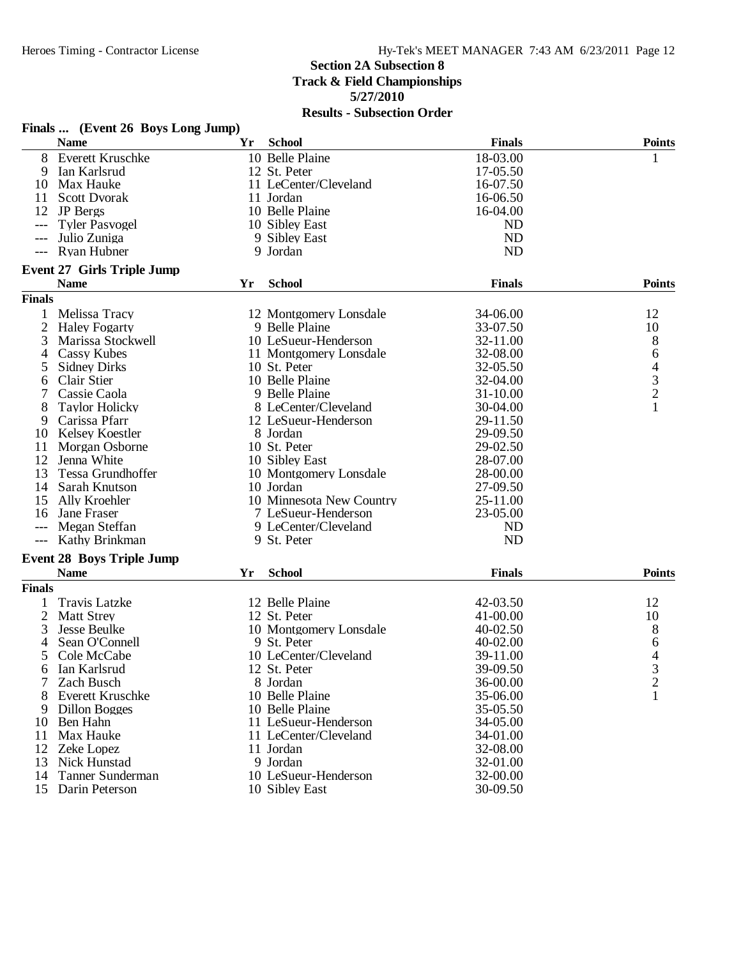| <b>School</b><br><b>Finals</b><br><b>Name</b><br>Yr<br>10 Belle Plaine<br>8<br><b>Everett Kruschke</b><br>18-03.00<br>1<br>9<br>Ian Karlsrud<br>12 St. Peter<br>17-05.50<br>Max Hauke<br>11 LeCenter/Cleveland<br>16-07.50<br>10<br>16-06.50<br><b>Scott Dvorak</b><br>11 Jordan<br>11<br>12 JP Bergs<br>10 Belle Plaine<br>16-04.00<br>10 Sibley East<br><b>ND</b><br><b>Tyler Pasvogel</b><br><b>ND</b><br>Julio Zuniga<br>9 Sibley East<br>$---$<br>Ryan Hubner<br><b>ND</b><br>9 Jordan<br>$---$<br><b>Event 27 Girls Triple Jump</b><br><b>School</b><br><b>Finals</b><br><b>Name</b><br>Yr<br><b>Points</b><br><b>Finals</b><br>$\mathbf{1}$<br>Melissa Tracy<br>34-06.00<br>12<br>12 Montgomery Lonsdale<br>$\overline{2}$<br>9 Belle Plaine<br><b>Haley Fogarty</b><br>33-07.50<br>10<br>3<br>10 LeSueur-Henderson<br>8<br>Marissa Stockwell<br>32-11.00<br>32-08.00<br>Cassy Kubes<br>11 Montgomery Lonsdale<br>6<br>4<br>$\frac{4}{3}$<br><b>Sidney Dirks</b><br>10 St. Peter<br>32-05.50<br>5<br>10 Belle Plaine<br>Clair Stier<br>32-04.00<br>6<br>9 Belle Plaine<br>7<br>Cassie Caola<br>31-10.00<br>$\mathbf{1}$<br>8<br><b>Taylor Holicky</b><br>8 LeCenter/Cleveland<br>30-04.00<br>29-11.50<br>9<br>Carissa Pfarr<br>12 LeSueur-Henderson<br>29-09.50<br>Kelsey Koestler<br>8 Jordan<br>10<br>Morgan Osborne<br>10 St. Peter<br>29-02.50<br>11<br>28-07.00<br>12<br>Jenna White<br>10 Sibley East<br>28-00.00<br>13<br>Tessa Grundhoffer<br>10 Montgomery Lonsdale<br>10 Jordan<br>27-09.50<br>Sarah Knutson<br>14<br>10 Minnesota New Country<br>15<br>Ally Kroehler<br>25-11.00<br>7 LeSueur-Henderson<br>23-05.00<br>Jane Fraser<br>16<br>Megan Steffan<br>9 LeCenter/Cleveland<br><b>ND</b><br>---<br>Kathy Brinkman<br>9 St. Peter<br><b>ND</b><br>$---$<br><b>Event 28 Boys Triple Jump</b><br><b>Name</b><br><b>Finals</b><br><b>Points</b><br>Yr<br><b>School</b><br><b>Finals</b><br><b>Travis Latzke</b><br>12 Belle Plaine<br>42-03.50<br>12<br>1<br>2<br><b>Matt Strey</b><br>12 St. Peter<br>41-00.00<br>10<br>3<br>8<br><b>Jesse Beulke</b><br>10 Montgomery Lonsdale<br>40-02.50<br>Sean O'Connell<br>9 St. Peter<br>4<br>40-02.00<br>6<br>4<br>5<br>10 LeCenter/Cleveland<br>39-11.00<br>Cole McCabe<br>Ian Karlsrud<br>12 St. Peter<br>39-09.50<br>3<br>6<br>$\overline{c}$<br>7<br>36-00.00<br>Zach Busch<br>8 Jordan<br>10 Belle Plaine<br>35-06.00<br>1<br>8<br>Everett Kruschke<br>10 Belle Plaine<br>35-05.50<br>Dillon Bogges<br>9<br>11 LeSueur-Henderson<br>Ben Hahn<br>34-05.00<br>10<br>Max Hauke<br>11 LeCenter/Cleveland<br>34-01.00<br>11<br>32-08.00<br>12 Zeke Lopez<br>11 Jordan<br>13<br>Nick Hunstad<br>9 Jordan<br>32-01.00<br>Tanner Sunderman<br>10 LeSueur-Henderson<br>32-00.00<br>14<br>15 Darin Peterson<br>10 Sibley East<br>30-09.50 | Finals  (Event 26 Boys Long Jump) |  |               |
|---------------------------------------------------------------------------------------------------------------------------------------------------------------------------------------------------------------------------------------------------------------------------------------------------------------------------------------------------------------------------------------------------------------------------------------------------------------------------------------------------------------------------------------------------------------------------------------------------------------------------------------------------------------------------------------------------------------------------------------------------------------------------------------------------------------------------------------------------------------------------------------------------------------------------------------------------------------------------------------------------------------------------------------------------------------------------------------------------------------------------------------------------------------------------------------------------------------------------------------------------------------------------------------------------------------------------------------------------------------------------------------------------------------------------------------------------------------------------------------------------------------------------------------------------------------------------------------------------------------------------------------------------------------------------------------------------------------------------------------------------------------------------------------------------------------------------------------------------------------------------------------------------------------------------------------------------------------------------------------------------------------------------------------------------------------------------------------------------------------------------------------------------------------------------------------------------------------------------------------------------------------------------------------------------------------------------------------------------------------------------------------------------------------------------------------------------------------------------------------------------------------------------------------------------------------------------------------------------------------------------------------------------------------------------------------------------------------------------------------------------------------------------------------------------|-----------------------------------|--|---------------|
|                                                                                                                                                                                                                                                                                                                                                                                                                                                                                                                                                                                                                                                                                                                                                                                                                                                                                                                                                                                                                                                                                                                                                                                                                                                                                                                                                                                                                                                                                                                                                                                                                                                                                                                                                                                                                                                                                                                                                                                                                                                                                                                                                                                                                                                                                                                                                                                                                                                                                                                                                                                                                                                                                                                                                                                                   |                                   |  | <b>Points</b> |
|                                                                                                                                                                                                                                                                                                                                                                                                                                                                                                                                                                                                                                                                                                                                                                                                                                                                                                                                                                                                                                                                                                                                                                                                                                                                                                                                                                                                                                                                                                                                                                                                                                                                                                                                                                                                                                                                                                                                                                                                                                                                                                                                                                                                                                                                                                                                                                                                                                                                                                                                                                                                                                                                                                                                                                                                   |                                   |  |               |
|                                                                                                                                                                                                                                                                                                                                                                                                                                                                                                                                                                                                                                                                                                                                                                                                                                                                                                                                                                                                                                                                                                                                                                                                                                                                                                                                                                                                                                                                                                                                                                                                                                                                                                                                                                                                                                                                                                                                                                                                                                                                                                                                                                                                                                                                                                                                                                                                                                                                                                                                                                                                                                                                                                                                                                                                   |                                   |  |               |
|                                                                                                                                                                                                                                                                                                                                                                                                                                                                                                                                                                                                                                                                                                                                                                                                                                                                                                                                                                                                                                                                                                                                                                                                                                                                                                                                                                                                                                                                                                                                                                                                                                                                                                                                                                                                                                                                                                                                                                                                                                                                                                                                                                                                                                                                                                                                                                                                                                                                                                                                                                                                                                                                                                                                                                                                   |                                   |  |               |
|                                                                                                                                                                                                                                                                                                                                                                                                                                                                                                                                                                                                                                                                                                                                                                                                                                                                                                                                                                                                                                                                                                                                                                                                                                                                                                                                                                                                                                                                                                                                                                                                                                                                                                                                                                                                                                                                                                                                                                                                                                                                                                                                                                                                                                                                                                                                                                                                                                                                                                                                                                                                                                                                                                                                                                                                   |                                   |  |               |
|                                                                                                                                                                                                                                                                                                                                                                                                                                                                                                                                                                                                                                                                                                                                                                                                                                                                                                                                                                                                                                                                                                                                                                                                                                                                                                                                                                                                                                                                                                                                                                                                                                                                                                                                                                                                                                                                                                                                                                                                                                                                                                                                                                                                                                                                                                                                                                                                                                                                                                                                                                                                                                                                                                                                                                                                   |                                   |  |               |
|                                                                                                                                                                                                                                                                                                                                                                                                                                                                                                                                                                                                                                                                                                                                                                                                                                                                                                                                                                                                                                                                                                                                                                                                                                                                                                                                                                                                                                                                                                                                                                                                                                                                                                                                                                                                                                                                                                                                                                                                                                                                                                                                                                                                                                                                                                                                                                                                                                                                                                                                                                                                                                                                                                                                                                                                   |                                   |  |               |
|                                                                                                                                                                                                                                                                                                                                                                                                                                                                                                                                                                                                                                                                                                                                                                                                                                                                                                                                                                                                                                                                                                                                                                                                                                                                                                                                                                                                                                                                                                                                                                                                                                                                                                                                                                                                                                                                                                                                                                                                                                                                                                                                                                                                                                                                                                                                                                                                                                                                                                                                                                                                                                                                                                                                                                                                   |                                   |  |               |
|                                                                                                                                                                                                                                                                                                                                                                                                                                                                                                                                                                                                                                                                                                                                                                                                                                                                                                                                                                                                                                                                                                                                                                                                                                                                                                                                                                                                                                                                                                                                                                                                                                                                                                                                                                                                                                                                                                                                                                                                                                                                                                                                                                                                                                                                                                                                                                                                                                                                                                                                                                                                                                                                                                                                                                                                   |                                   |  |               |
|                                                                                                                                                                                                                                                                                                                                                                                                                                                                                                                                                                                                                                                                                                                                                                                                                                                                                                                                                                                                                                                                                                                                                                                                                                                                                                                                                                                                                                                                                                                                                                                                                                                                                                                                                                                                                                                                                                                                                                                                                                                                                                                                                                                                                                                                                                                                                                                                                                                                                                                                                                                                                                                                                                                                                                                                   |                                   |  |               |
|                                                                                                                                                                                                                                                                                                                                                                                                                                                                                                                                                                                                                                                                                                                                                                                                                                                                                                                                                                                                                                                                                                                                                                                                                                                                                                                                                                                                                                                                                                                                                                                                                                                                                                                                                                                                                                                                                                                                                                                                                                                                                                                                                                                                                                                                                                                                                                                                                                                                                                                                                                                                                                                                                                                                                                                                   |                                   |  |               |
|                                                                                                                                                                                                                                                                                                                                                                                                                                                                                                                                                                                                                                                                                                                                                                                                                                                                                                                                                                                                                                                                                                                                                                                                                                                                                                                                                                                                                                                                                                                                                                                                                                                                                                                                                                                                                                                                                                                                                                                                                                                                                                                                                                                                                                                                                                                                                                                                                                                                                                                                                                                                                                                                                                                                                                                                   |                                   |  |               |
|                                                                                                                                                                                                                                                                                                                                                                                                                                                                                                                                                                                                                                                                                                                                                                                                                                                                                                                                                                                                                                                                                                                                                                                                                                                                                                                                                                                                                                                                                                                                                                                                                                                                                                                                                                                                                                                                                                                                                                                                                                                                                                                                                                                                                                                                                                                                                                                                                                                                                                                                                                                                                                                                                                                                                                                                   |                                   |  |               |
|                                                                                                                                                                                                                                                                                                                                                                                                                                                                                                                                                                                                                                                                                                                                                                                                                                                                                                                                                                                                                                                                                                                                                                                                                                                                                                                                                                                                                                                                                                                                                                                                                                                                                                                                                                                                                                                                                                                                                                                                                                                                                                                                                                                                                                                                                                                                                                                                                                                                                                                                                                                                                                                                                                                                                                                                   |                                   |  |               |
|                                                                                                                                                                                                                                                                                                                                                                                                                                                                                                                                                                                                                                                                                                                                                                                                                                                                                                                                                                                                                                                                                                                                                                                                                                                                                                                                                                                                                                                                                                                                                                                                                                                                                                                                                                                                                                                                                                                                                                                                                                                                                                                                                                                                                                                                                                                                                                                                                                                                                                                                                                                                                                                                                                                                                                                                   |                                   |  |               |
|                                                                                                                                                                                                                                                                                                                                                                                                                                                                                                                                                                                                                                                                                                                                                                                                                                                                                                                                                                                                                                                                                                                                                                                                                                                                                                                                                                                                                                                                                                                                                                                                                                                                                                                                                                                                                                                                                                                                                                                                                                                                                                                                                                                                                                                                                                                                                                                                                                                                                                                                                                                                                                                                                                                                                                                                   |                                   |  |               |
|                                                                                                                                                                                                                                                                                                                                                                                                                                                                                                                                                                                                                                                                                                                                                                                                                                                                                                                                                                                                                                                                                                                                                                                                                                                                                                                                                                                                                                                                                                                                                                                                                                                                                                                                                                                                                                                                                                                                                                                                                                                                                                                                                                                                                                                                                                                                                                                                                                                                                                                                                                                                                                                                                                                                                                                                   |                                   |  |               |
|                                                                                                                                                                                                                                                                                                                                                                                                                                                                                                                                                                                                                                                                                                                                                                                                                                                                                                                                                                                                                                                                                                                                                                                                                                                                                                                                                                                                                                                                                                                                                                                                                                                                                                                                                                                                                                                                                                                                                                                                                                                                                                                                                                                                                                                                                                                                                                                                                                                                                                                                                                                                                                                                                                                                                                                                   |                                   |  |               |
|                                                                                                                                                                                                                                                                                                                                                                                                                                                                                                                                                                                                                                                                                                                                                                                                                                                                                                                                                                                                                                                                                                                                                                                                                                                                                                                                                                                                                                                                                                                                                                                                                                                                                                                                                                                                                                                                                                                                                                                                                                                                                                                                                                                                                                                                                                                                                                                                                                                                                                                                                                                                                                                                                                                                                                                                   |                                   |  |               |
|                                                                                                                                                                                                                                                                                                                                                                                                                                                                                                                                                                                                                                                                                                                                                                                                                                                                                                                                                                                                                                                                                                                                                                                                                                                                                                                                                                                                                                                                                                                                                                                                                                                                                                                                                                                                                                                                                                                                                                                                                                                                                                                                                                                                                                                                                                                                                                                                                                                                                                                                                                                                                                                                                                                                                                                                   |                                   |  |               |
|                                                                                                                                                                                                                                                                                                                                                                                                                                                                                                                                                                                                                                                                                                                                                                                                                                                                                                                                                                                                                                                                                                                                                                                                                                                                                                                                                                                                                                                                                                                                                                                                                                                                                                                                                                                                                                                                                                                                                                                                                                                                                                                                                                                                                                                                                                                                                                                                                                                                                                                                                                                                                                                                                                                                                                                                   |                                   |  |               |
|                                                                                                                                                                                                                                                                                                                                                                                                                                                                                                                                                                                                                                                                                                                                                                                                                                                                                                                                                                                                                                                                                                                                                                                                                                                                                                                                                                                                                                                                                                                                                                                                                                                                                                                                                                                                                                                                                                                                                                                                                                                                                                                                                                                                                                                                                                                                                                                                                                                                                                                                                                                                                                                                                                                                                                                                   |                                   |  |               |
|                                                                                                                                                                                                                                                                                                                                                                                                                                                                                                                                                                                                                                                                                                                                                                                                                                                                                                                                                                                                                                                                                                                                                                                                                                                                                                                                                                                                                                                                                                                                                                                                                                                                                                                                                                                                                                                                                                                                                                                                                                                                                                                                                                                                                                                                                                                                                                                                                                                                                                                                                                                                                                                                                                                                                                                                   |                                   |  |               |
|                                                                                                                                                                                                                                                                                                                                                                                                                                                                                                                                                                                                                                                                                                                                                                                                                                                                                                                                                                                                                                                                                                                                                                                                                                                                                                                                                                                                                                                                                                                                                                                                                                                                                                                                                                                                                                                                                                                                                                                                                                                                                                                                                                                                                                                                                                                                                                                                                                                                                                                                                                                                                                                                                                                                                                                                   |                                   |  |               |
|                                                                                                                                                                                                                                                                                                                                                                                                                                                                                                                                                                                                                                                                                                                                                                                                                                                                                                                                                                                                                                                                                                                                                                                                                                                                                                                                                                                                                                                                                                                                                                                                                                                                                                                                                                                                                                                                                                                                                                                                                                                                                                                                                                                                                                                                                                                                                                                                                                                                                                                                                                                                                                                                                                                                                                                                   |                                   |  |               |
|                                                                                                                                                                                                                                                                                                                                                                                                                                                                                                                                                                                                                                                                                                                                                                                                                                                                                                                                                                                                                                                                                                                                                                                                                                                                                                                                                                                                                                                                                                                                                                                                                                                                                                                                                                                                                                                                                                                                                                                                                                                                                                                                                                                                                                                                                                                                                                                                                                                                                                                                                                                                                                                                                                                                                                                                   |                                   |  |               |
|                                                                                                                                                                                                                                                                                                                                                                                                                                                                                                                                                                                                                                                                                                                                                                                                                                                                                                                                                                                                                                                                                                                                                                                                                                                                                                                                                                                                                                                                                                                                                                                                                                                                                                                                                                                                                                                                                                                                                                                                                                                                                                                                                                                                                                                                                                                                                                                                                                                                                                                                                                                                                                                                                                                                                                                                   |                                   |  |               |
|                                                                                                                                                                                                                                                                                                                                                                                                                                                                                                                                                                                                                                                                                                                                                                                                                                                                                                                                                                                                                                                                                                                                                                                                                                                                                                                                                                                                                                                                                                                                                                                                                                                                                                                                                                                                                                                                                                                                                                                                                                                                                                                                                                                                                                                                                                                                                                                                                                                                                                                                                                                                                                                                                                                                                                                                   |                                   |  |               |
|                                                                                                                                                                                                                                                                                                                                                                                                                                                                                                                                                                                                                                                                                                                                                                                                                                                                                                                                                                                                                                                                                                                                                                                                                                                                                                                                                                                                                                                                                                                                                                                                                                                                                                                                                                                                                                                                                                                                                                                                                                                                                                                                                                                                                                                                                                                                                                                                                                                                                                                                                                                                                                                                                                                                                                                                   |                                   |  |               |
|                                                                                                                                                                                                                                                                                                                                                                                                                                                                                                                                                                                                                                                                                                                                                                                                                                                                                                                                                                                                                                                                                                                                                                                                                                                                                                                                                                                                                                                                                                                                                                                                                                                                                                                                                                                                                                                                                                                                                                                                                                                                                                                                                                                                                                                                                                                                                                                                                                                                                                                                                                                                                                                                                                                                                                                                   |                                   |  |               |
|                                                                                                                                                                                                                                                                                                                                                                                                                                                                                                                                                                                                                                                                                                                                                                                                                                                                                                                                                                                                                                                                                                                                                                                                                                                                                                                                                                                                                                                                                                                                                                                                                                                                                                                                                                                                                                                                                                                                                                                                                                                                                                                                                                                                                                                                                                                                                                                                                                                                                                                                                                                                                                                                                                                                                                                                   |                                   |  |               |
|                                                                                                                                                                                                                                                                                                                                                                                                                                                                                                                                                                                                                                                                                                                                                                                                                                                                                                                                                                                                                                                                                                                                                                                                                                                                                                                                                                                                                                                                                                                                                                                                                                                                                                                                                                                                                                                                                                                                                                                                                                                                                                                                                                                                                                                                                                                                                                                                                                                                                                                                                                                                                                                                                                                                                                                                   |                                   |  |               |
|                                                                                                                                                                                                                                                                                                                                                                                                                                                                                                                                                                                                                                                                                                                                                                                                                                                                                                                                                                                                                                                                                                                                                                                                                                                                                                                                                                                                                                                                                                                                                                                                                                                                                                                                                                                                                                                                                                                                                                                                                                                                                                                                                                                                                                                                                                                                                                                                                                                                                                                                                                                                                                                                                                                                                                                                   |                                   |  |               |
|                                                                                                                                                                                                                                                                                                                                                                                                                                                                                                                                                                                                                                                                                                                                                                                                                                                                                                                                                                                                                                                                                                                                                                                                                                                                                                                                                                                                                                                                                                                                                                                                                                                                                                                                                                                                                                                                                                                                                                                                                                                                                                                                                                                                                                                                                                                                                                                                                                                                                                                                                                                                                                                                                                                                                                                                   |                                   |  |               |
|                                                                                                                                                                                                                                                                                                                                                                                                                                                                                                                                                                                                                                                                                                                                                                                                                                                                                                                                                                                                                                                                                                                                                                                                                                                                                                                                                                                                                                                                                                                                                                                                                                                                                                                                                                                                                                                                                                                                                                                                                                                                                                                                                                                                                                                                                                                                                                                                                                                                                                                                                                                                                                                                                                                                                                                                   |                                   |  |               |
|                                                                                                                                                                                                                                                                                                                                                                                                                                                                                                                                                                                                                                                                                                                                                                                                                                                                                                                                                                                                                                                                                                                                                                                                                                                                                                                                                                                                                                                                                                                                                                                                                                                                                                                                                                                                                                                                                                                                                                                                                                                                                                                                                                                                                                                                                                                                                                                                                                                                                                                                                                                                                                                                                                                                                                                                   |                                   |  |               |
|                                                                                                                                                                                                                                                                                                                                                                                                                                                                                                                                                                                                                                                                                                                                                                                                                                                                                                                                                                                                                                                                                                                                                                                                                                                                                                                                                                                                                                                                                                                                                                                                                                                                                                                                                                                                                                                                                                                                                                                                                                                                                                                                                                                                                                                                                                                                                                                                                                                                                                                                                                                                                                                                                                                                                                                                   |                                   |  |               |
|                                                                                                                                                                                                                                                                                                                                                                                                                                                                                                                                                                                                                                                                                                                                                                                                                                                                                                                                                                                                                                                                                                                                                                                                                                                                                                                                                                                                                                                                                                                                                                                                                                                                                                                                                                                                                                                                                                                                                                                                                                                                                                                                                                                                                                                                                                                                                                                                                                                                                                                                                                                                                                                                                                                                                                                                   |                                   |  |               |
|                                                                                                                                                                                                                                                                                                                                                                                                                                                                                                                                                                                                                                                                                                                                                                                                                                                                                                                                                                                                                                                                                                                                                                                                                                                                                                                                                                                                                                                                                                                                                                                                                                                                                                                                                                                                                                                                                                                                                                                                                                                                                                                                                                                                                                                                                                                                                                                                                                                                                                                                                                                                                                                                                                                                                                                                   |                                   |  |               |
|                                                                                                                                                                                                                                                                                                                                                                                                                                                                                                                                                                                                                                                                                                                                                                                                                                                                                                                                                                                                                                                                                                                                                                                                                                                                                                                                                                                                                                                                                                                                                                                                                                                                                                                                                                                                                                                                                                                                                                                                                                                                                                                                                                                                                                                                                                                                                                                                                                                                                                                                                                                                                                                                                                                                                                                                   |                                   |  |               |
|                                                                                                                                                                                                                                                                                                                                                                                                                                                                                                                                                                                                                                                                                                                                                                                                                                                                                                                                                                                                                                                                                                                                                                                                                                                                                                                                                                                                                                                                                                                                                                                                                                                                                                                                                                                                                                                                                                                                                                                                                                                                                                                                                                                                                                                                                                                                                                                                                                                                                                                                                                                                                                                                                                                                                                                                   |                                   |  |               |
|                                                                                                                                                                                                                                                                                                                                                                                                                                                                                                                                                                                                                                                                                                                                                                                                                                                                                                                                                                                                                                                                                                                                                                                                                                                                                                                                                                                                                                                                                                                                                                                                                                                                                                                                                                                                                                                                                                                                                                                                                                                                                                                                                                                                                                                                                                                                                                                                                                                                                                                                                                                                                                                                                                                                                                                                   |                                   |  |               |
|                                                                                                                                                                                                                                                                                                                                                                                                                                                                                                                                                                                                                                                                                                                                                                                                                                                                                                                                                                                                                                                                                                                                                                                                                                                                                                                                                                                                                                                                                                                                                                                                                                                                                                                                                                                                                                                                                                                                                                                                                                                                                                                                                                                                                                                                                                                                                                                                                                                                                                                                                                                                                                                                                                                                                                                                   |                                   |  |               |
|                                                                                                                                                                                                                                                                                                                                                                                                                                                                                                                                                                                                                                                                                                                                                                                                                                                                                                                                                                                                                                                                                                                                                                                                                                                                                                                                                                                                                                                                                                                                                                                                                                                                                                                                                                                                                                                                                                                                                                                                                                                                                                                                                                                                                                                                                                                                                                                                                                                                                                                                                                                                                                                                                                                                                                                                   |                                   |  |               |
|                                                                                                                                                                                                                                                                                                                                                                                                                                                                                                                                                                                                                                                                                                                                                                                                                                                                                                                                                                                                                                                                                                                                                                                                                                                                                                                                                                                                                                                                                                                                                                                                                                                                                                                                                                                                                                                                                                                                                                                                                                                                                                                                                                                                                                                                                                                                                                                                                                                                                                                                                                                                                                                                                                                                                                                                   |                                   |  |               |
|                                                                                                                                                                                                                                                                                                                                                                                                                                                                                                                                                                                                                                                                                                                                                                                                                                                                                                                                                                                                                                                                                                                                                                                                                                                                                                                                                                                                                                                                                                                                                                                                                                                                                                                                                                                                                                                                                                                                                                                                                                                                                                                                                                                                                                                                                                                                                                                                                                                                                                                                                                                                                                                                                                                                                                                                   |                                   |  |               |
|                                                                                                                                                                                                                                                                                                                                                                                                                                                                                                                                                                                                                                                                                                                                                                                                                                                                                                                                                                                                                                                                                                                                                                                                                                                                                                                                                                                                                                                                                                                                                                                                                                                                                                                                                                                                                                                                                                                                                                                                                                                                                                                                                                                                                                                                                                                                                                                                                                                                                                                                                                                                                                                                                                                                                                                                   |                                   |  |               |
|                                                                                                                                                                                                                                                                                                                                                                                                                                                                                                                                                                                                                                                                                                                                                                                                                                                                                                                                                                                                                                                                                                                                                                                                                                                                                                                                                                                                                                                                                                                                                                                                                                                                                                                                                                                                                                                                                                                                                                                                                                                                                                                                                                                                                                                                                                                                                                                                                                                                                                                                                                                                                                                                                                                                                                                                   |                                   |  |               |
|                                                                                                                                                                                                                                                                                                                                                                                                                                                                                                                                                                                                                                                                                                                                                                                                                                                                                                                                                                                                                                                                                                                                                                                                                                                                                                                                                                                                                                                                                                                                                                                                                                                                                                                                                                                                                                                                                                                                                                                                                                                                                                                                                                                                                                                                                                                                                                                                                                                                                                                                                                                                                                                                                                                                                                                                   |                                   |  |               |
|                                                                                                                                                                                                                                                                                                                                                                                                                                                                                                                                                                                                                                                                                                                                                                                                                                                                                                                                                                                                                                                                                                                                                                                                                                                                                                                                                                                                                                                                                                                                                                                                                                                                                                                                                                                                                                                                                                                                                                                                                                                                                                                                                                                                                                                                                                                                                                                                                                                                                                                                                                                                                                                                                                                                                                                                   |                                   |  |               |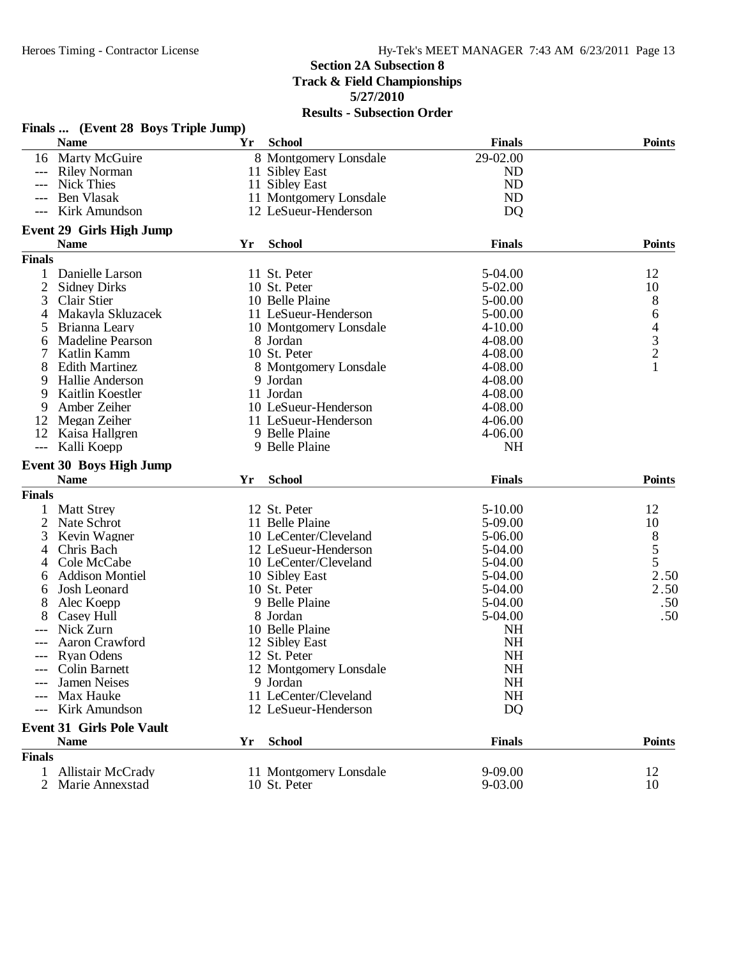|                     |                                                    |     | <b>IVESURE - DUDSCURBIT OF ACT</b> |               |                                            |
|---------------------|----------------------------------------------------|-----|------------------------------------|---------------|--------------------------------------------|
|                     | Finals  (Event 28 Boys Triple Jump)<br><b>Name</b> | Yr  | <b>School</b>                      | <b>Finals</b> | <b>Points</b>                              |
|                     | 16 Marty McGuire                                   |     | 8 Montgomery Lonsdale              | 29-02.00      |                                            |
| $---$               | <b>Riley Norman</b>                                |     | 11 Sibley East                     | <b>ND</b>     |                                            |
| $---$               | <b>Nick Thies</b>                                  |     | 11 Sibley East                     | <b>ND</b>     |                                            |
| $---$               | Ben Vlasak                                         |     | 11 Montgomery Lonsdale             | <b>ND</b>     |                                            |
| $---$               | Kirk Amundson                                      |     | 12 LeSueur-Henderson               | <b>DQ</b>     |                                            |
|                     |                                                    |     |                                    |               |                                            |
|                     | <b>Event 29 Girls High Jump</b><br><b>Name</b>     | Yr  | <b>School</b>                      | <b>Finals</b> | <b>Points</b>                              |
| <b>Finals</b>       |                                                    |     |                                    |               |                                            |
|                     |                                                    |     |                                    |               |                                            |
| 1                   | Danielle Larson                                    |     | 11 St. Peter                       | 5-04.00       | 12                                         |
| $\overline{2}$      | <b>Sidney Dirks</b>                                |     | 10 St. Peter                       | $5-02.00$     | 10                                         |
| 3                   | Clair Stier                                        |     | 10 Belle Plaine                    | 5-00.00       | 8                                          |
| 4                   | Makayla Skluzacek                                  |     | 11 LeSueur-Henderson               | 5-00.00       | 6                                          |
| 5                   | Brianna Leary                                      |     | 10 Montgomery Lonsdale             | $4 - 10.00$   | $\begin{array}{c} 4 \\ 3 \\ 2 \end{array}$ |
| 6                   | <b>Madeline Pearson</b>                            |     | 8 Jordan                           | 4-08.00       |                                            |
|                     | Katlin Kamm                                        |     | 10 St. Peter                       | 4-08.00       |                                            |
| 8                   | <b>Edith Martinez</b>                              |     | 8 Montgomery Lonsdale              | 4-08.00       | $\mathbf{1}$                               |
| 9                   | Hallie Anderson                                    |     | 9 Jordan                           | 4-08.00       |                                            |
| 9                   | Kaitlin Koestler                                   |     | 11 Jordan                          | 4-08.00       |                                            |
| 9                   | Amber Zeiher                                       |     | 10 LeSueur-Henderson               | 4-08.00       |                                            |
| 12                  | Megan Zeiher                                       |     | 11 LeSueur-Henderson               | $4 - 06.00$   |                                            |
| 12                  | Kaisa Hallgren                                     |     | 9 Belle Plaine                     | 4-06.00       |                                            |
| $\qquad \qquad - -$ | Kalli Koepp                                        |     | 9 Belle Plaine                     | <b>NH</b>     |                                            |
|                     | <b>Event 30 Boys High Jump</b>                     |     |                                    |               |                                            |
|                     | <b>Name</b>                                        | Yr  | <b>School</b>                      | <b>Finals</b> | <b>Points</b>                              |
| <b>Finals</b>       |                                                    |     |                                    |               |                                            |
| 1                   | <b>Matt Strey</b>                                  |     | 12 St. Peter                       | $5 - 10.00$   | 12                                         |
| 2                   | Nate Schrot                                        |     | 11 Belle Plaine                    | 5-09.00       | 10                                         |
| 3                   | Kevin Wagner                                       |     | 10 LeCenter/Cleveland              | 5-06.00       | $\begin{array}{c} 8 \\ 5 \end{array}$      |
| 4                   | Chris Bach                                         |     | 12 LeSueur-Henderson               | 5-04.00       |                                            |
| 4                   | Cole McCabe                                        |     | 10 LeCenter/Cleveland              | 5-04.00       | 5                                          |
| 6                   | <b>Addison Montiel</b>                             |     | 10 Sibley East                     | 5-04.00       | 2.50                                       |
| 6                   | Josh Leonard                                       |     | 10 St. Peter                       | 5-04.00       | 2.50                                       |
| 8                   | Alec Koepp                                         |     | 9 Belle Plaine                     | 5-04.00       | .50                                        |
| 8                   | Casey Hull                                         |     | 8 Jordan                           | 5-04.00       | .50                                        |
|                     | Nick Zurn                                          |     | 10 Belle Plaine                    | <b>NH</b>     |                                            |
|                     | Aaron Crawford                                     |     | 12 Sibley East                     | <b>NH</b>     |                                            |
|                     | <b>Ryan Odens</b>                                  |     | 12 St. Peter                       | <b>NH</b>     |                                            |
|                     | Colin Barnett                                      |     | 12 Montgomery Lonsdale             | <b>NH</b>     |                                            |
|                     | Jamen Neises                                       |     | 9 Jordan                           | <b>NH</b>     |                                            |
|                     | Max Hauke                                          |     | 11 LeCenter/Cleveland              | <b>NH</b>     |                                            |
|                     | Kirk Amundson                                      |     | 12 LeSueur-Henderson               | <b>DQ</b>     |                                            |
|                     | <b>Event 31 Girls Pole Vault</b>                   |     |                                    |               |                                            |
|                     | <b>Name</b>                                        | Yr. | <b>School</b>                      | <b>Finals</b> | <b>Points</b>                              |
| <b>Finals</b>       |                                                    |     |                                    |               |                                            |
| 1                   | <b>Allistair McCrady</b>                           |     | 11 Montgomery Lonsdale             | 9-09.00       | 12                                         |
| 2                   | Marie Annexstad                                    |     | 10 St. Peter                       | 9-03.00       | 10                                         |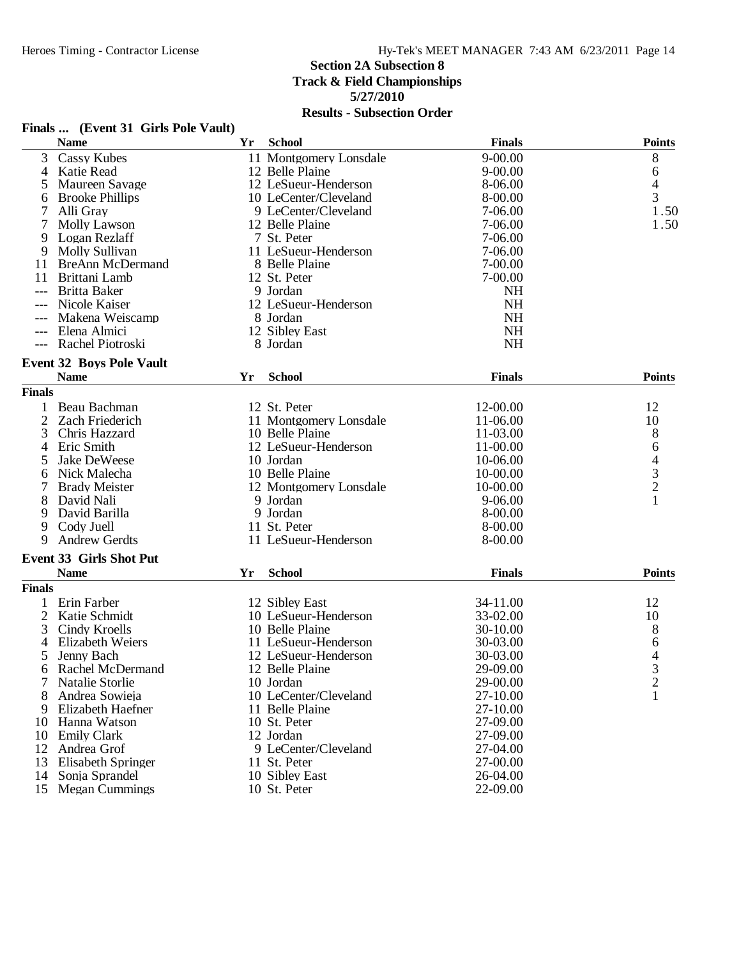|                | Finals  (Event 31 Girls Pole Vault) |    |                        |               |                                            |
|----------------|-------------------------------------|----|------------------------|---------------|--------------------------------------------|
|                | <b>Name</b>                         | Yr | <b>School</b>          | <b>Finals</b> | <b>Points</b>                              |
| 3              | <b>Cassy Kubes</b>                  |    | 11 Montgomery Lonsdale | $9 - 00.00$   | 8                                          |
| 4              | Katie Read                          |    | 12 Belle Plaine        | $9 - 00.00$   | 6                                          |
| 5              | Maureen Savage                      |    | 12 LeSueur-Henderson   | 8-06.00       | 4                                          |
| 6              | <b>Brooke Phillips</b>              |    | 10 LeCenter/Cleveland  | 8-00.00       | 3                                          |
|                | Alli Gray                           |    | 9 LeCenter/Cleveland   | 7-06.00       | 1.50                                       |
| 7              | <b>Molly Lawson</b>                 |    | 12 Belle Plaine        | 7-06.00       | 1.50                                       |
| 9              | Logan Rezlaff                       |    | 7 St. Peter            | 7-06.00       |                                            |
| 9              | Molly Sullivan                      |    | 11 LeSueur-Henderson   | 7-06.00       |                                            |
| 11             | <b>BreAnn McDermand</b>             |    | 8 Belle Plaine         | 7-00.00       |                                            |
| 11             | Brittani Lamb                       |    | 12 St. Peter           | 7-00.00       |                                            |
| ---            | Britta Baker                        |    | 9 Jordan               | <b>NH</b>     |                                            |
|                | Nicole Kaiser                       |    | 12 LeSueur-Henderson   | <b>NH</b>     |                                            |
|                | Makena Weiscamp                     |    | 8 Jordan               | <b>NH</b>     |                                            |
|                | Elena Almici                        |    | 12 Sibley East         | <b>NH</b>     |                                            |
|                | Rachel Piotroski                    |    | 8 Jordan               | <b>NH</b>     |                                            |
|                | <b>Event 32 Boys Pole Vault</b>     |    |                        |               |                                            |
|                | <b>Name</b>                         | Yr | <b>School</b>          | <b>Finals</b> | <b>Points</b>                              |
| <b>Finals</b>  |                                     |    |                        |               |                                            |
| 1              | Beau Bachman                        |    | 12 St. Peter           | 12-00.00      | 12                                         |
| 2              | Zach Friederich                     |    | 11 Montgomery Lonsdale | 11-06.00      | 10                                         |
| 3              | Chris Hazzard                       |    | 10 Belle Plaine        | 11-03.00      | 8                                          |
| 4              | Eric Smith                          |    | 12 LeSueur-Henderson   | 11-00.00      | 6                                          |
| 5              | Jake DeWeese                        |    | 10 Jordan              | 10-06.00      |                                            |
| 6              | Nick Malecha                        |    | 10 Belle Plaine        | 10-00.00      | $\begin{array}{c} 4 \\ 3 \\ 2 \end{array}$ |
|                | <b>Brady Meister</b>                |    | 12 Montgomery Lonsdale | 10-00.00      |                                            |
| 8              | David Nali                          |    | 9 Jordan               | $9 - 06.00$   | $\mathbf{1}$                               |
| 9              | David Barilla                       |    | 9 Jordan               | 8-00.00       |                                            |
| 9              | Cody Juell                          |    | 11 St. Peter           | 8-00.00       |                                            |
| 9              | <b>Andrew Gerdts</b>                |    | 11 LeSueur-Henderson   | 8-00.00       |                                            |
|                | <b>Event 33 Girls Shot Put</b>      |    |                        |               |                                            |
|                | <b>Name</b>                         | Yr | <b>School</b>          | <b>Finals</b> | <b>Points</b>                              |
| <b>Finals</b>  |                                     |    |                        |               |                                            |
| 1              | Erin Farber                         |    | 12 Sibley East         | 34-11.00      | 12                                         |
| $\overline{2}$ | Katie Schmidt                       |    | 10 LeSueur-Henderson   | 33-02.00      | 10                                         |
| 3              | Cindy Kroells                       |    | 10 Belle Plaine        | 30-10.00      | 8                                          |
|                | <b>Elizabeth Weiers</b>             |    | 11 LeSueur-Henderson   | 30-03.00      | 6                                          |
| 5              | Jenny Bach                          |    | 12 LeSueur-Henderson   | 30-03.00      | 4                                          |
|                | Rachel McDermand                    |    | 12 Belle Plaine        | 29-09.00      |                                            |
| 6<br>7         | Natalie Storlie                     |    | 10 Jordan              |               | 3<br>$\overline{c}$                        |
|                |                                     |    |                        | 29-00.00      |                                            |
| 8              | Andrea Sowieja                      |    | 10 LeCenter/Cleveland  | 27-10.00      | 1                                          |
| 9              | Elizabeth Haefner                   |    | 11 Belle Plaine        | 27-10.00      |                                            |
| 10             | Hanna Watson                        |    | 10 St. Peter           | 27-09.00      |                                            |
| 10             | <b>Emily Clark</b>                  |    | 12 Jordan              | 27-09.00      |                                            |
| 12             | Andrea Grof                         |    | 9 LeCenter/Cleveland   | 27-04.00      |                                            |
| 13             | <b>Elisabeth Springer</b>           |    | 11 St. Peter           | 27-00.00      |                                            |
| 14             | Sonja Sprandel                      |    | 10 Sibley East         | 26-04.00      |                                            |
| 15             | <b>Megan Cummings</b>               |    | 10 St. Peter           | 22-09.00      |                                            |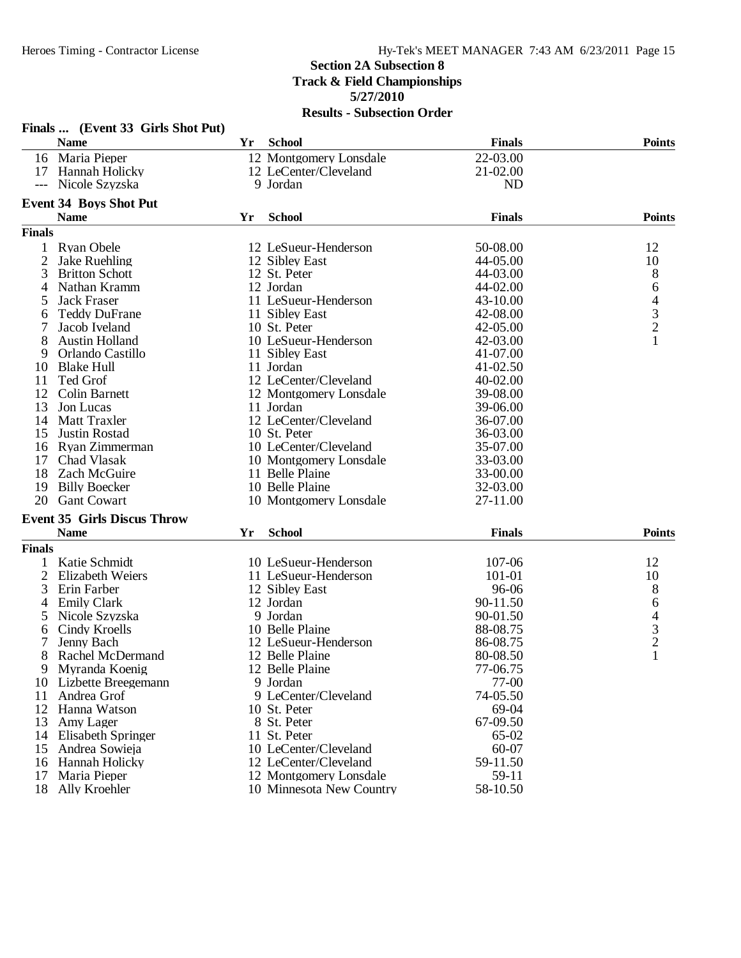|                | Finals  (Event 33 Girls Shot Put)  |    |                          |               |                          |
|----------------|------------------------------------|----|--------------------------|---------------|--------------------------|
|                | <b>Name</b>                        | Yr | <b>School</b>            | <b>Finals</b> | <b>Points</b>            |
|                | 16 Maria Pieper                    |    | 12 Montgomery Lonsdale   | 22-03.00      |                          |
|                | 17 Hannah Holicky                  |    | 12 LeCenter/Cleveland    | 21-02.00      |                          |
| ---            | Nicole Szyzska                     |    | 9 Jordan                 | <b>ND</b>     |                          |
|                | <b>Event 34 Boys Shot Put</b>      |    |                          |               |                          |
|                | <b>Name</b>                        | Yr | <b>School</b>            | <b>Finals</b> | <b>Points</b>            |
| <b>Finals</b>  |                                    |    |                          |               |                          |
|                | <b>Ryan Obele</b>                  |    | 12 LeSueur-Henderson     | 50-08.00      | 12                       |
| $\overline{c}$ | <b>Jake Ruehling</b>               |    | 12 Sibley East           | 44-05.00      | 10                       |
| 3              | <b>Britton Schott</b>              |    | 12 St. Peter             | 44-03.00      | 8                        |
| 4              | Nathan Kramm                       |    | 12 Jordan                | 44-02.00      | 6                        |
| 5              | Jack Fraser                        |    | 11 LeSueur-Henderson     | 43-10.00      | 4                        |
| 6              | <b>Teddy DuFrane</b>               |    | 11 Sibley East           | 42-08.00      | $\frac{3}{2}$            |
| 7              | Jacob Iveland                      |    | 10 St. Peter             | 42-05.00      |                          |
| 8              | <b>Austin Holland</b>              |    | 10 LeSueur-Henderson     | 42-03.00      | $\mathbf{1}$             |
| 9              | Orlando Castillo                   |    | 11 Sibley East           | 41-07.00      |                          |
| 10             | <b>Blake Hull</b>                  |    | 11 Jordan                | 41-02.50      |                          |
| 11             | Ted Grof                           |    | 12 LeCenter/Cleveland    | 40-02.00      |                          |
| 12             | Colin Barnett                      |    | 12 Montgomery Lonsdale   | 39-08.00      |                          |
| 13             | Jon Lucas                          |    | 11 Jordan                | 39-06.00      |                          |
| 14             | Matt Traxler                       |    | 12 LeCenter/Cleveland    | 36-07.00      |                          |
| 15             | <b>Justin Rostad</b>               |    | 10 St. Peter             | 36-03.00      |                          |
| 16             | Ryan Zimmerman                     |    | 10 LeCenter/Cleveland    | 35-07.00      |                          |
| 17             | Chad Vlasak                        |    | 10 Montgomery Lonsdale   | 33-03.00      |                          |
| 18             | Zach McGuire                       |    | 11 Belle Plaine          | 33-00.00      |                          |
| 19             | <b>Billy Boecker</b>               |    | 10 Belle Plaine          | 32-03.00      |                          |
|                | 20 Gant Cowart                     |    | 10 Montgomery Lonsdale   | 27-11.00      |                          |
|                | <b>Event 35 Girls Discus Throw</b> |    |                          |               |                          |
|                | <b>Name</b>                        | Yr | <b>School</b>            | <b>Finals</b> | <b>Points</b>            |
| <b>Finals</b>  |                                    |    |                          |               |                          |
| 1              | Katie Schmidt                      |    | 10 LeSueur-Henderson     | 107-06        | 12                       |
| 2              | Elizabeth Weiers                   |    | 11 LeSueur-Henderson     | 101-01        | 10                       |
| 3              | Erin Farber                        |    | 12 Sibley East           | 96-06         | 8                        |
| 4              | <b>Emily Clark</b>                 |    | 12 Jordan                | 90-11.50      | 6                        |
| 5              | Nicole Szyzska                     |    | 9 Jordan                 | 90-01.50      | $\overline{\mathcal{L}}$ |
| 6              | Cindy Kroells                      |    | 10 Belle Plaine          | 88-08.75      |                          |
| 7              | Jenny Bach                         |    | 12 LeSueur-Henderson     | 86-08.75      | $\frac{3}{2}$            |
| 8              | Rachel McDermand                   |    | 12 Belle Plaine          | 80-08.50      | 1                        |
| 9              | Myranda Koenig                     |    | 12 Belle Plaine          | 77-06.75      |                          |
| 10             | Lizbette Breegemann                |    | 9 Jordan                 | 77-00         |                          |
| 11             | Andrea Grof                        |    | 9 LeCenter/Cleveland     | 74-05.50      |                          |
| 12             | Hanna Watson                       |    | 10 St. Peter             | 69-04         |                          |
| 13             | Amy Lager                          |    | 8 St. Peter              | 67-09.50      |                          |
| 14             | Elisabeth Springer                 |    | 11 St. Peter             | 65-02         |                          |
| 15             | Andrea Sowieja                     |    | 10 LeCenter/Cleveland    | 60-07         |                          |
| 16             | Hannah Holicky                     |    | 12 LeCenter/Cleveland    | 59-11.50      |                          |
| 17             | Maria Pieper                       |    | 12 Montgomery Lonsdale   | 59-11         |                          |
| 18             | Ally Kroehler                      |    | 10 Minnesota New Country | 58-10.50      |                          |